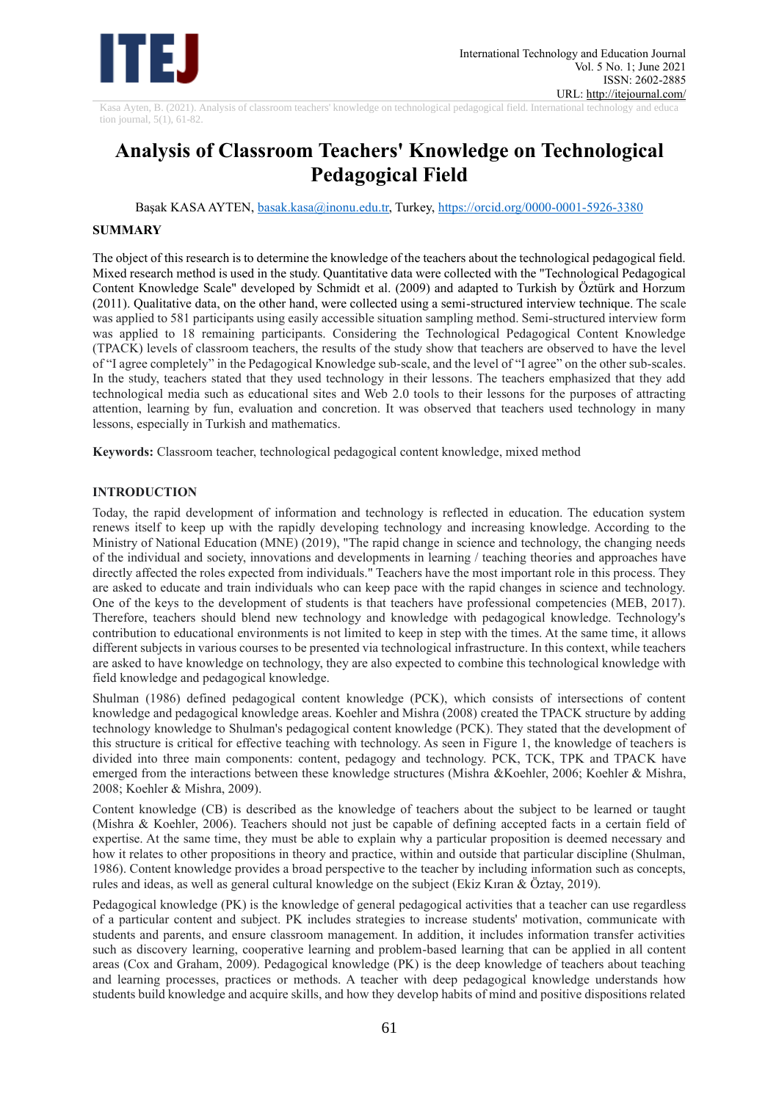

Kasa Ayten, B. (2021). Analysis of classroom teachers' knowledge on technological pedagogical field. International technology and educa tion journal, 5(1), 61-82.

# **Analysis of Classroom Teachers' Knowledge on Technological Pedagogical Field**

Başak KASA AYTEN, [basak.kasa@inonu.edu.tr,](mailto:basak.kasa@inonu.edu.tr) Turkey,<https://orcid.org/0000-0001-5926-3380>

# **SUMMARY**

The object of this research is to determine the knowledge of the teachers about the technological pedagogical field. Mixed research method is used in the study. Quantitative data were collected with the "Technological Pedagogical Content Knowledge Scale" developed by Schmidt et al. (2009) and adapted to Turkish by Öztürk and Horzum (2011). Qualitative data, on the other hand, were collected using a semi-structured interview technique. The scale was applied to 581 participants using easily accessible situation sampling method. Semi-structured interview form was applied to 18 remaining participants. Considering the Technological Pedagogical Content Knowledge (TPACK) levels of classroom teachers, the results of the study show that teachers are observed to have the level of "I agree completely" in the Pedagogical Knowledge sub-scale, and the level of "I agree" on the other sub-scales. In the study, teachers stated that they used technology in their lessons. The teachers emphasized that they add technological media such as educational sites and Web 2.0 tools to their lessons for the purposes of attracting attention, learning by fun, evaluation and concretion. It was observed that teachers used technology in many lessons, especially in Turkish and mathematics.

**Keywords:** Classroom teacher, technological pedagogical content knowledge, mixed method

# **INTRODUCTION**

Today, the rapid development of information and technology is reflected in education. The education system renews itself to keep up with the rapidly developing technology and increasing knowledge. According to the Ministry of National Education (MNE) (2019), "The rapid change in science and technology, the changing needs of the individual and society, innovations and developments in learning / teaching theories and approaches have directly affected the roles expected from individuals." Teachers have the most important role in this process. They are asked to educate and train individuals who can keep pace with the rapid changes in science and technology. One of the keys to the development of students is that teachers have professional competencies (MEB, 2017). Therefore, teachers should blend new technology and knowledge with pedagogical knowledge. Technology's contribution to educational environments is not limited to keep in step with the times. At the same time, it allows different subjects in various courses to be presented via technological infrastructure. In this context, while teachers are asked to have knowledge on technology, they are also expected to combine this technological knowledge with field knowledge and pedagogical knowledge.

Shulman (1986) defined pedagogical content knowledge (PCK), which consists of intersections of content knowledge and pedagogical knowledge areas. Koehler and Mishra (2008) created the TPACK structure by adding technology knowledge to Shulman's pedagogical content knowledge (PCK). They stated that the development of this structure is critical for effective teaching with technology. As seen in Figure 1, the knowledge of teachers is divided into three main components: content, pedagogy and technology. PCK, TCK, TPK and TPACK have emerged from the interactions between these knowledge structures (Mishra &Koehler, 2006; Koehler & Mishra, 2008; Koehler & Mishra, 2009).

Content knowledge (CB) is described as the knowledge of teachers about the subject to be learned or taught (Mishra & Koehler, 2006). Teachers should not just be capable of defining accepted facts in a certain field of expertise. At the same time, they must be able to explain why a particular proposition is deemed necessary and how it relates to other propositions in theory and practice, within and outside that particular discipline (Shulman, 1986). Content knowledge provides a broad perspective to the teacher by including information such as concepts, rules and ideas, as well as general cultural knowledge on the subject (Ekiz Kıran & Öztay, 2019).

Pedagogical knowledge (PK) is the knowledge of general pedagogical activities that a teacher can use regardless of a particular content and subject. PK includes strategies to increase students' motivation, communicate with students and parents, and ensure classroom management. In addition, it includes information transfer activities such as discovery learning, cooperative learning and problem-based learning that can be applied in all content areas (Cox and Graham, 2009). Pedagogical knowledge (PK) is the deep knowledge of teachers about teaching and learning processes, practices or methods. A teacher with deep pedagogical knowledge understands how students build knowledge and acquire skills, and how they develop habits of mind and positive dispositions related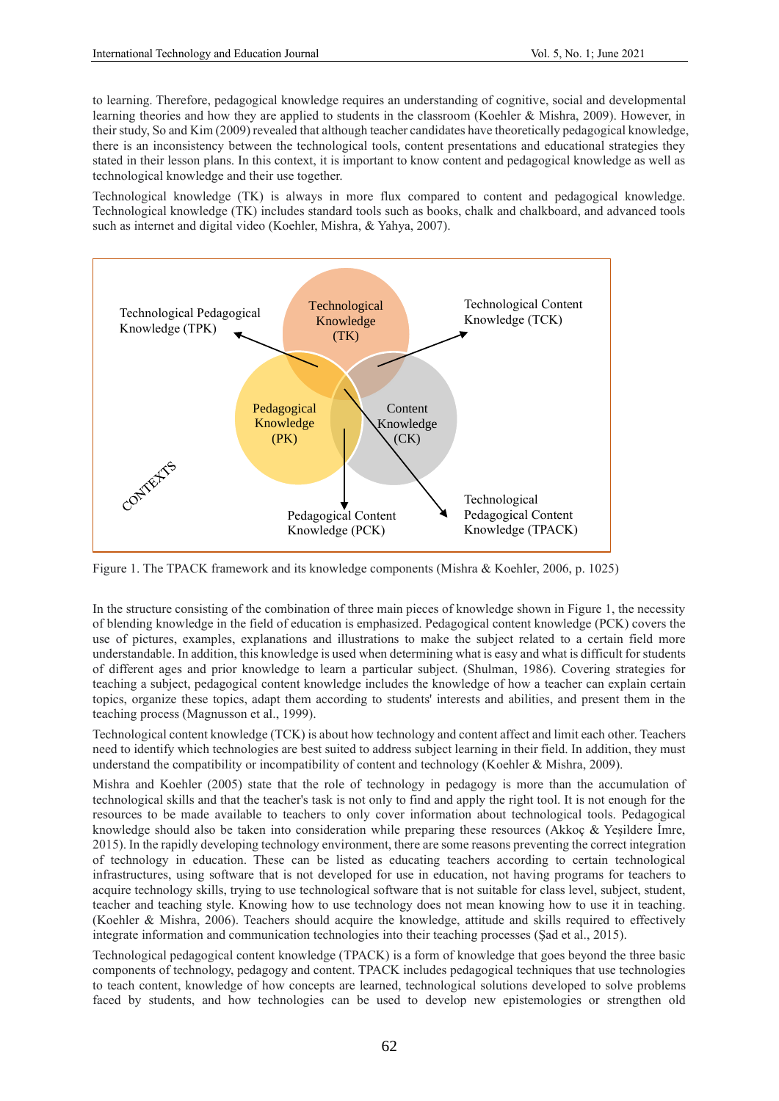to learning. Therefore, pedagogical knowledge requires an understanding of cognitive, social and developmental learning theories and how they are applied to students in the classroom (Koehler & Mishra, 2009). However, in their study, So and Kim (2009) revealed that although teacher candidates have theoretically pedagogical knowledge, there is an inconsistency between the technological tools, content presentations and educational strategies they stated in their lesson plans. In this context, it is important to know content and pedagogical knowledge as well as technological knowledge and their use together.

Technological knowledge (TK) is always in more flux compared to content and pedagogical knowledge. Technological knowledge (TK) includes standard tools such as books, chalk and chalkboard, and advanced tools such as internet and digital video (Koehler, Mishra, & Yahya, 2007).



Figure 1. The TPACK framework and its knowledge components (Mishra & Koehler, 2006, p. 1025)

In the structure consisting of the combination of three main pieces of knowledge shown in Figure 1, the necessity of blending knowledge in the field of education is emphasized. Pedagogical content knowledge (PCK) covers the use of pictures, examples, explanations and illustrations to make the subject related to a certain field more understandable. In addition, this knowledge is used when determining what is easy and what is difficult for students of different ages and prior knowledge to learn a particular subject. (Shulman, 1986). Covering strategies for teaching a subject, pedagogical content knowledge includes the knowledge of how a teacher can explain certain topics, organize these topics, adapt them according to students' interests and abilities, and present them in the teaching process (Magnusson et al., 1999).

Technological content knowledge (TCK) is about how technology and content affect and limit each other. Teachers need to identify which technologies are best suited to address subject learning in their field. In addition, they must understand the compatibility or incompatibility of content and technology (Koehler & Mishra, 2009).

Mishra and Koehler (2005) state that the role of technology in pedagogy is more than the accumulation of technological skills and that the teacher's task is not only to find and apply the right tool. It is not enough for the resources to be made available to teachers to only cover information about technological tools. Pedagogical knowledge should also be taken into consideration while preparing these resources (Akkoç & Yeşildere İmre, 2015). In the rapidly developing technology environment, there are some reasons preventing the correct integration of technology in education. These can be listed as educating teachers according to certain technological infrastructures, using software that is not developed for use in education, not having programs for teachers to acquire technology skills, trying to use technological software that is not suitable for class level, subject, student, teacher and teaching style. Knowing how to use technology does not mean knowing how to use it in teaching. (Koehler & Mishra, 2006). Teachers should acquire the knowledge, attitude and skills required to effectively integrate information and communication technologies into their teaching processes (Şad et al., 2015).

Technological pedagogical content knowledge (TPACK) is a form of knowledge that goes beyond the three basic components of technology, pedagogy and content. TPACK includes pedagogical techniques that use technologies to teach content, knowledge of how concepts are learned, technological solutions developed to solve problems faced by students, and how technologies can be used to develop new epistemologies or strengthen old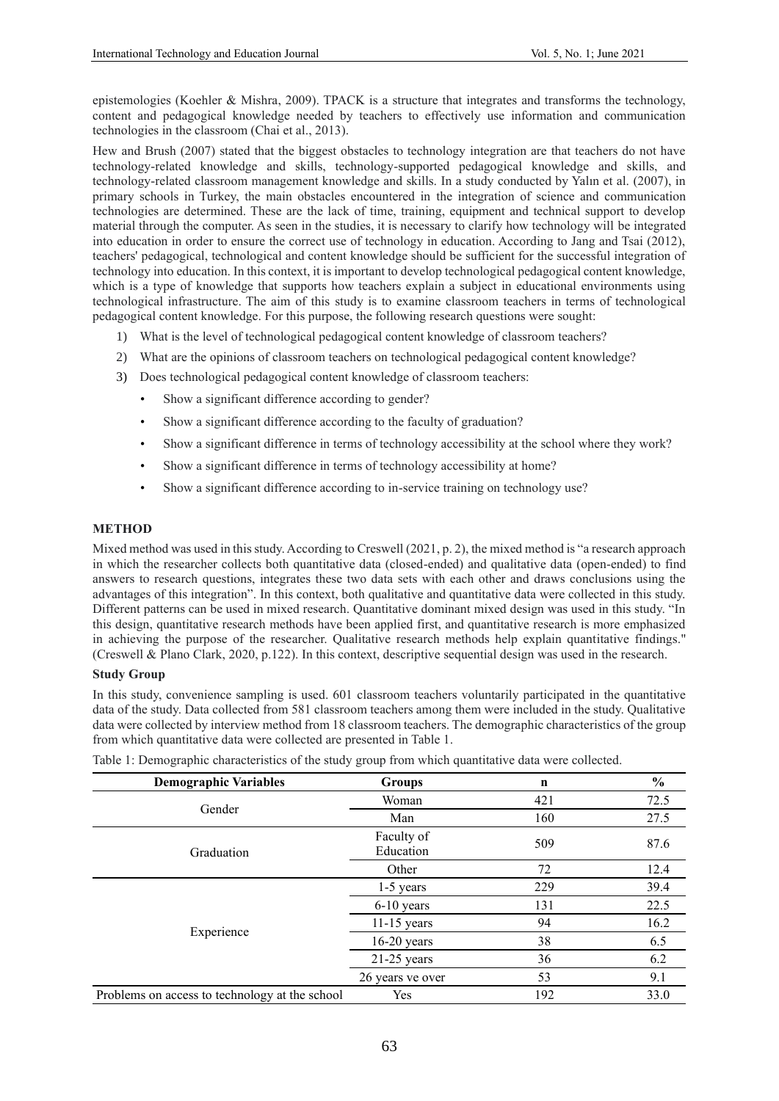epistemologies (Koehler & Mishra, 2009). TPACK is a structure that integrates and transforms the technology, content and pedagogical knowledge needed by teachers to effectively use information and communication technologies in the classroom (Chai et al., 2013).

Hew and Brush (2007) stated that the biggest obstacles to technology integration are that teachers do not have technology-related knowledge and skills, technology-supported pedagogical knowledge and skills, and technology-related classroom management knowledge and skills. In a study conducted by Yalın et al. (2007), in primary schools in Turkey, the main obstacles encountered in the integration of science and communication technologies are determined. These are the lack of time, training, equipment and technical support to develop material through the computer. As seen in the studies, it is necessary to clarify how technology will be integrated into education in order to ensure the correct use of technology in education. According to Jang and Tsai (2012), teachers' pedagogical, technological and content knowledge should be sufficient for the successful integration of technology into education. In this context, it is important to develop technological pedagogical content knowledge, which is a type of knowledge that supports how teachers explain a subject in educational environments using technological infrastructure. The aim of this study is to examine classroom teachers in terms of technological pedagogical content knowledge. For this purpose, the following research questions were sought:

- 1) What is the level of technological pedagogical content knowledge of classroom teachers?
- 2) What are the opinions of classroom teachers on technological pedagogical content knowledge?
- 3) Does technological pedagogical content knowledge of classroom teachers:
	- Show a significant difference according to gender?
	- Show a significant difference according to the faculty of graduation?
	- Show a significant difference in terms of technology accessibility at the school where they work?
	- Show a significant difference in terms of technology accessibility at home?
	- Show a significant difference according to in-service training on technology use?

# **METHOD**

Mixed method was used in this study. According to Creswell (2021, p. 2), the mixed method is "a research approach in which the researcher collects both quantitative data (closed-ended) and qualitative data (open-ended) to find answers to research questions, integrates these two data sets with each other and draws conclusions using the advantages of this integration". In this context, both qualitative and quantitative data were collected in this study. Different patterns can be used in mixed research. Quantitative dominant mixed design was used in this study. "In this design, quantitative research methods have been applied first, and quantitative research is more emphasized in achieving the purpose of the researcher. Qualitative research methods help explain quantitative findings." (Creswell & Plano Clark, 2020, p.122). In this context, descriptive sequential design was used in the research.

# **Study Group**

In this study, convenience sampling is used. 601 classroom teachers voluntarily participated in the quantitative data of the study. Data collected from 581 classroom teachers among them were included in the study. Qualitative data were collected by interview method from 18 classroom teachers. The demographic characteristics of the group from which quantitative data were collected are presented in Table 1.

| <b>Demographic Variables</b>                   | <b>Groups</b>           | n   | $\%$ |
|------------------------------------------------|-------------------------|-----|------|
| Gender                                         | Woman                   | 421 | 72.5 |
|                                                | Man                     | 160 | 27.5 |
| Graduation                                     | Faculty of<br>Education | 509 | 87.6 |
|                                                | Other                   | 72  | 12.4 |
|                                                | $1-5$ years             | 229 | 39.4 |
|                                                | $6-10$ years            | 131 | 22.5 |
|                                                | $11-15$ years           | 94  | 16.2 |
| Experience                                     | $16-20$ years           | 38  | 6.5  |
|                                                | $21-25$ years           | 36  | 6.2  |
|                                                | 26 years ve over        | 53  | 9.1  |
| Problems on access to technology at the school | Yes                     | 192 | 33.0 |

Table 1: Demographic characteristics of the study group from which quantitative data were collected.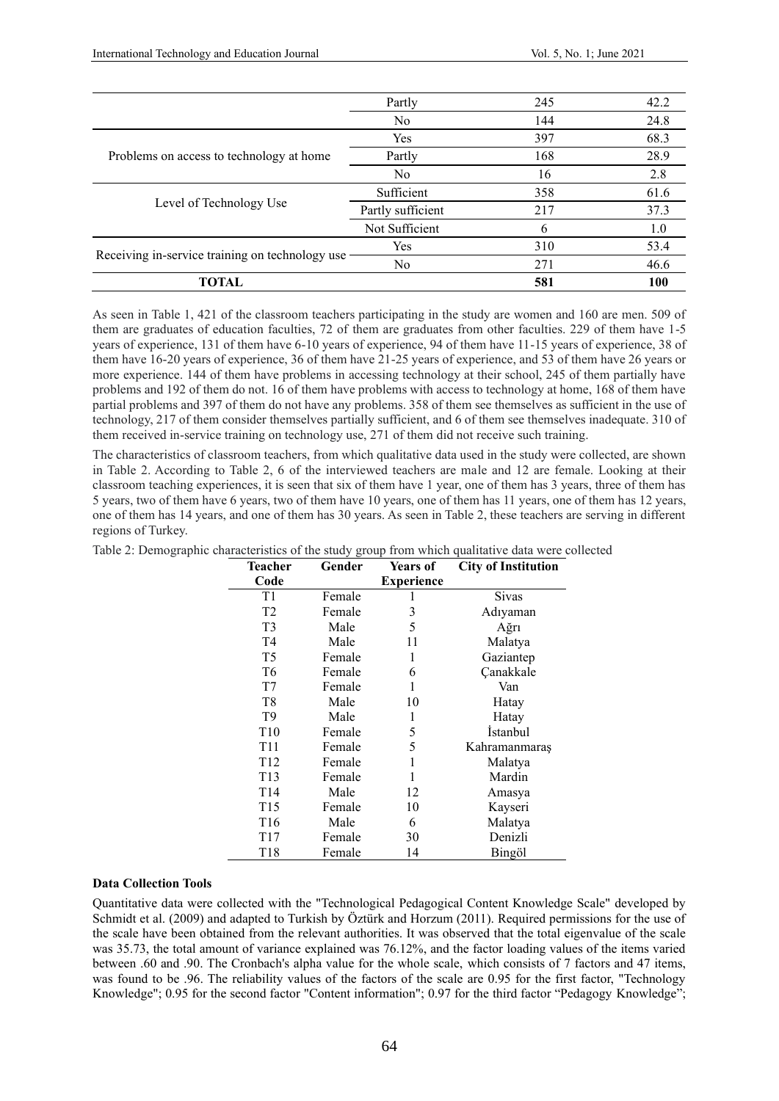|                                                 | Partly            | 245          | 42.2 |
|-------------------------------------------------|-------------------|--------------|------|
|                                                 | No                | 144          | 24.8 |
|                                                 | Yes               | 397          | 68.3 |
| Problems on access to technology at home        | Partly            | 168          | 28.9 |
|                                                 | N <sub>0</sub>    | 16           | 2.8  |
|                                                 | Sufficient        | 358          | 61.6 |
| Level of Technology Use                         | Partly sufficient | 217          | 37.3 |
|                                                 | Not Sufficient    | <sub>b</sub> | 1.0  |
|                                                 | Yes               | 310          | 53.4 |
| Receiving in-service training on technology use | No                | 271          | 46.6 |
| TOTAL                                           |                   | 581          | 100  |

As seen in Table 1, 421 of the classroom teachers participating in the study are women and 160 are men. 509 of them are graduates of education faculties, 72 of them are graduates from other faculties. 229 of them have 1-5 years of experience, 131 of them have 6-10 years of experience, 94 of them have 11-15 years of experience, 38 of them have 16-20 years of experience, 36 of them have 21-25 years of experience, and 53 of them have 26 years or more experience. 144 of them have problems in accessing technology at their school, 245 of them partially have problems and 192 of them do not. 16 of them have problems with access to technology at home, 168 of them have partial problems and 397 of them do not have any problems. 358 of them see themselves as sufficient in the use of technology, 217 of them consider themselves partially sufficient, and 6 of them see themselves inadequate. 310 of them received in-service training on technology use, 271 of them did not receive such training.

The characteristics of classroom teachers, from which qualitative data used in the study were collected, are shown in Table 2. According to Table 2, 6 of the interviewed teachers are male and 12 are female. Looking at their classroom teaching experiences, it is seen that six of them have 1 year, one of them has 3 years, three of them has 5 years, two of them have 6 years, two of them have 10 years, one of them has 11 years, one of them has 12 years, one of them has 14 years, and one of them has 30 years. As seen in Table 2, these teachers are serving in different regions of Turkey.

| <b>Teacher</b>  | Gender | <b>Years of</b>   | <b>City of Institution</b> |
|-----------------|--------|-------------------|----------------------------|
| Code            |        | <b>Experience</b> |                            |
| T1              | Female |                   | <b>Sivas</b>               |
| T <sub>2</sub>  | Female | 3                 | Adıyaman                   |
| T <sub>3</sub>  | Male   | 5                 | Ağrı                       |
| T4              | Male   | 11                | Malatya                    |
| T <sub>5</sub>  | Female | 1                 | Gaziantep                  |
| T <sub>6</sub>  | Female | 6                 | Çanakkale                  |
| T7              | Female |                   | Van                        |
| T8              | Male   | 10                | Hatay                      |
| T9              | Male   |                   | Hatay                      |
| T <sub>10</sub> | Female | 5                 | <b>Istanbul</b>            |
| T <sub>11</sub> | Female | 5                 | Kahramanmaraş              |
| T <sub>12</sub> | Female | 1                 | Malatya                    |
| T <sub>13</sub> | Female | 1                 | Mardin                     |
| T14             | Male   | 12                | Amasya                     |
| T <sub>15</sub> | Female | 10                | Kayseri                    |
| T <sub>16</sub> | Male   | 6                 | Malatya                    |
| T17             | Female | 30                | Denizli                    |
| T18             | Female | 14                | Bingöl                     |

Table 2: Demographic characteristics of the study group from which qualitative data were collected

#### **Data Collection Tools**

Quantitative data were collected with the "Technological Pedagogical Content Knowledge Scale" developed by Schmidt et al. (2009) and adapted to Turkish by Öztürk and Horzum (2011). Required permissions for the use of the scale have been obtained from the relevant authorities. It was observed that the total eigenvalue of the scale was 35.73, the total amount of variance explained was 76.12%, and the factor loading values of the items varied between .60 and .90. The Cronbach's alpha value for the whole scale, which consists of 7 factors and 47 items, was found to be .96. The reliability values of the factors of the scale are 0.95 for the first factor, "Technology Knowledge"; 0.95 for the second factor "Content information"; 0.97 for the third factor "Pedagogy Knowledge";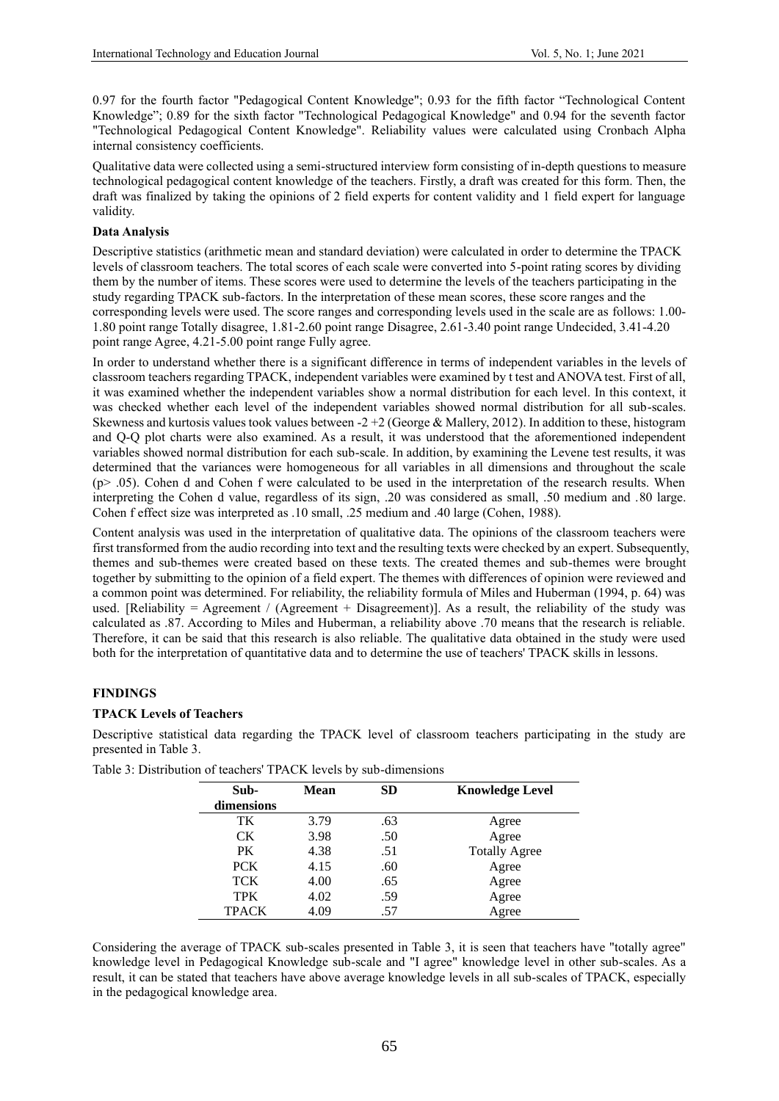0.97 for the fourth factor "Pedagogical Content Knowledge"; 0.93 for the fifth factor "Technological Content Knowledge"; 0.89 for the sixth factor "Technological Pedagogical Knowledge" and 0.94 for the seventh factor "Technological Pedagogical Content Knowledge". Reliability values were calculated using Cronbach Alpha internal consistency coefficients.

Qualitative data were collected using a semi-structured interview form consisting of in-depth questions to measure technological pedagogical content knowledge of the teachers. Firstly, a draft was created for this form. Then, the draft was finalized by taking the opinions of 2 field experts for content validity and 1 field expert for language validity.

# **Data Analysis**

Descriptive statistics (arithmetic mean and standard deviation) were calculated in order to determine the TPACK levels of classroom teachers. The total scores of each scale were converted into 5-point rating scores by dividing them by the number of items. These scores were used to determine the levels of the teachers participating in the study regarding TPACK sub-factors. In the interpretation of these mean scores, these score ranges and the corresponding levels were used. The score ranges and corresponding levels used in the scale are as follows: 1.00- 1.80 point range Totally disagree, 1.81-2.60 point range Disagree, 2.61-3.40 point range Undecided, 3.41-4.20 point range Agree, 4.21-5.00 point range Fully agree.

In order to understand whether there is a significant difference in terms of independent variables in the levels of classroom teachers regarding TPACK, independent variables were examined by t test and ANOVA test. First of all, it was examined whether the independent variables show a normal distribution for each level. In this context, it was checked whether each level of the independent variables showed normal distribution for all sub-scales. Skewness and kurtosis values took values between  $-2 + 2$  (George & Mallery, 2012). In addition to these, histogram and Q-Q plot charts were also examined. As a result, it was understood that the aforementioned independent variables showed normal distribution for each sub-scale. In addition, by examining the Levene test results, it was determined that the variances were homogeneous for all variables in all dimensions and throughout the scale  $(p> 0.05)$ . Cohen d and Cohen f were calculated to be used in the interpretation of the research results. When interpreting the Cohen d value, regardless of its sign, .20 was considered as small, .50 medium and .80 large. Cohen f effect size was interpreted as .10 small, .25 medium and .40 large (Cohen, 1988).

Content analysis was used in the interpretation of qualitative data. The opinions of the classroom teachers were first transformed from the audio recording into text and the resulting texts were checked by an expert. Subsequently, themes and sub-themes were created based on these texts. The created themes and sub-themes were brought together by submitting to the opinion of a field expert. The themes with differences of opinion were reviewed and a common point was determined. For reliability, the reliability formula of Miles and Huberman (1994, p. 64) was used. [Reliability = Agreement / (Agreement + Disagreement)]. As a result, the reliability of the study was calculated as .87. According to Miles and Huberman, a reliability above .70 means that the research is reliable. Therefore, it can be said that this research is also reliable. The qualitative data obtained in the study were used both for the interpretation of quantitative data and to determine the use of teachers' TPACK skills in lessons.

# **FINDINGS**

# **TPACK Levels of Teachers**

Descriptive statistical data regarding the TPACK level of classroom teachers participating in the study are presented in Table 3.

| Sub-<br>dimensions | <b>Mean</b> | <b>SD</b> | <b>Knowledge Level</b> |
|--------------------|-------------|-----------|------------------------|
| TK                 | 3.79        | .63       | Agree                  |
| CK.                | 3.98        | .50       | Agree                  |
| <b>PK</b>          | 4.38        | .51       | <b>Totally Agree</b>   |
| <b>PCK</b>         | 4.15        | .60       | Agree                  |
| <b>TCK</b>         | 4.00        | .65       | Agree                  |
| <b>TPK</b>         | 4.02        | .59       | Agree                  |
| <b>TPACK</b>       | 4.09        | .57       | Agree                  |

Table 3: Distribution of teachers' TPACK levels by sub-dimensions

Considering the average of TPACK sub-scales presented in Table 3, it is seen that teachers have "totally agree" knowledge level in Pedagogical Knowledge sub-scale and "I agree" knowledge level in other sub-scales. As a result, it can be stated that teachers have above average knowledge levels in all sub-scales of TPACK, especially in the pedagogical knowledge area.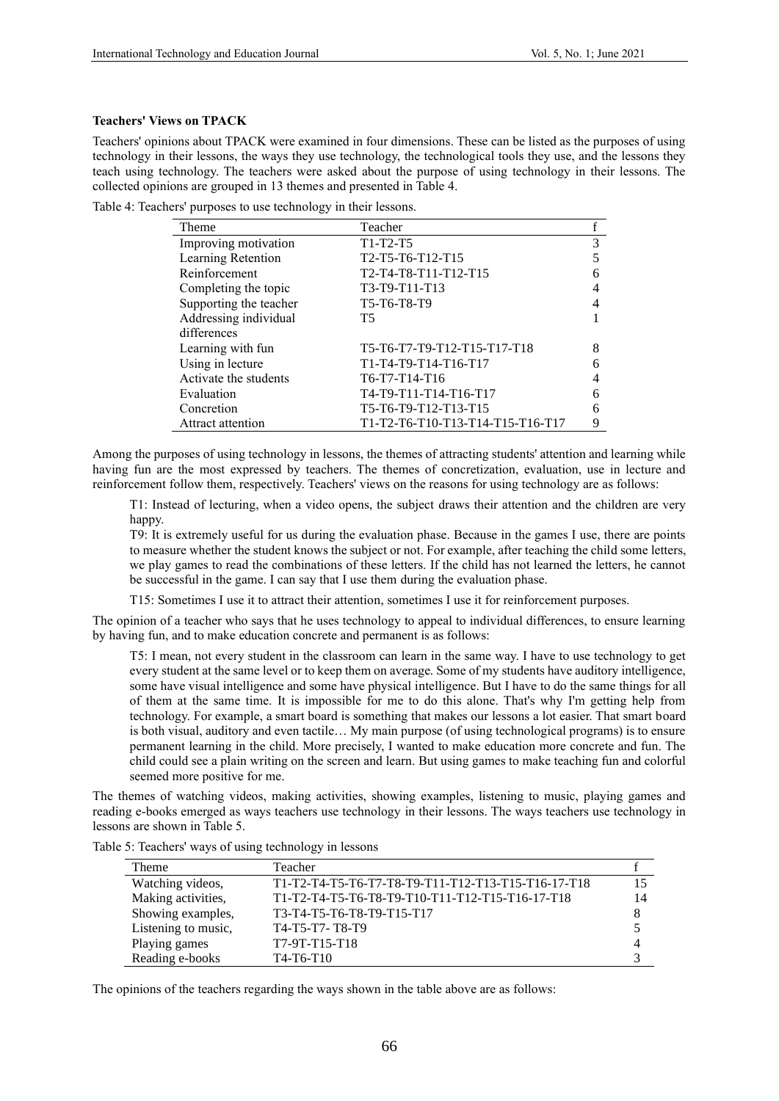# **Teachers' Views on TPACK**

Teachers' opinions about TPACK were examined in four dimensions. These can be listed as the purposes of using technology in their lessons, the ways they use technology, the technological tools they use, and the lessons they teach using technology. The teachers were asked about the purpose of using technology in their lessons. The collected opinions are grouped in 13 themes and presented in Table 4.

Table 4: Teachers' purposes to use technology in their lessons.

| Theme                  | Teacher                                                                          |   |
|------------------------|----------------------------------------------------------------------------------|---|
| Improving motivation   | $T1-T2-T5$                                                                       | 3 |
| Learning Retention     | T <sub>2</sub> -T <sub>5</sub> -T <sub>6</sub> -T <sub>12</sub> -T <sub>15</sub> | 5 |
| Reinforcement          | T2-T4-T8-T11-T12-T15                                                             | 6 |
| Completing the topic   | T3-T9-T11-T13                                                                    | 4 |
| Supporting the teacher | T5-T6-T8-T9                                                                      | 4 |
| Addressing individual  | T5                                                                               |   |
| differences            |                                                                                  |   |
| Learning with fun      | T5-T6-T7-T9-T12-T15-T17-T18                                                      | 8 |
| Using in lecture       | T1-T4-T9-T14-T16-T17                                                             | 6 |
| Activate the students  | T6-T7-T14-T16                                                                    | 4 |
| Evaluation             | T4-T9-T11-T14-T16-T17                                                            | 6 |
| Concretion             | T5-T6-T9-T12-T13-T15                                                             | 6 |
| Attract attention      | T1-T2-T6-T10-T13-T14-T15-T16-T17                                                 | 9 |

Among the purposes of using technology in lessons, the themes of attracting students' attention and learning while having fun are the most expressed by teachers. The themes of concretization, evaluation, use in lecture and reinforcement follow them, respectively. Teachers' views on the reasons for using technology are as follows:

T1: Instead of lecturing, when a video opens, the subject draws their attention and the children are very happy.

T9: It is extremely useful for us during the evaluation phase. Because in the games I use, there are points to measure whether the student knows the subject or not. For example, after teaching the child some letters, we play games to read the combinations of these letters. If the child has not learned the letters, he cannot be successful in the game. I can say that I use them during the evaluation phase.

T15: Sometimes I use it to attract their attention, sometimes I use it for reinforcement purposes.

The opinion of a teacher who says that he uses technology to appeal to individual differences, to ensure learning by having fun, and to make education concrete and permanent is as follows:

T5: I mean, not every student in the classroom can learn in the same way. I have to use technology to get every student at the same level or to keep them on average. Some of my students have auditory intelligence, some have visual intelligence and some have physical intelligence. But I have to do the same things for all of them at the same time. It is impossible for me to do this alone. That's why I'm getting help from technology. For example, a smart board is something that makes our lessons a lot easier. That smart board is both visual, auditory and even tactile… My main purpose (of using technological programs) is to ensure permanent learning in the child. More precisely, I wanted to make education more concrete and fun. The child could see a plain writing on the screen and learn. But using games to make teaching fun and colorful seemed more positive for me.

The themes of watching videos, making activities, showing examples, listening to music, playing games and reading e-books emerged as ways teachers use technology in their lessons. The ways teachers use technology in lessons are shown in Table 5.

| Theme               | Teacher                                            |    |
|---------------------|----------------------------------------------------|----|
| Watching videos,    | T1-T2-T4-T5-T6-T7-T8-T9-T11-T12-T13-T15-T16-17-T18 | 15 |
| Making activities,  | T1-T2-T4-T5-T6-T8-T9-T10-T11-T12-T15-T16-17-T18    | 14 |
| Showing examples,   | T3-T4-T5-T6-T8-T9-T15-T17                          | 8  |
| Listening to music, | T4-T5-T7-T8-T9                                     |    |
| Playing games       | T7-9T-T15-T18                                      | 4  |
| Reading e-books     | T <sub>4</sub> -T <sub>6</sub> -T <sub>10</sub>    |    |

Table 5: Teachers' ways of using technology in lessons

The opinions of the teachers regarding the ways shown in the table above are as follows: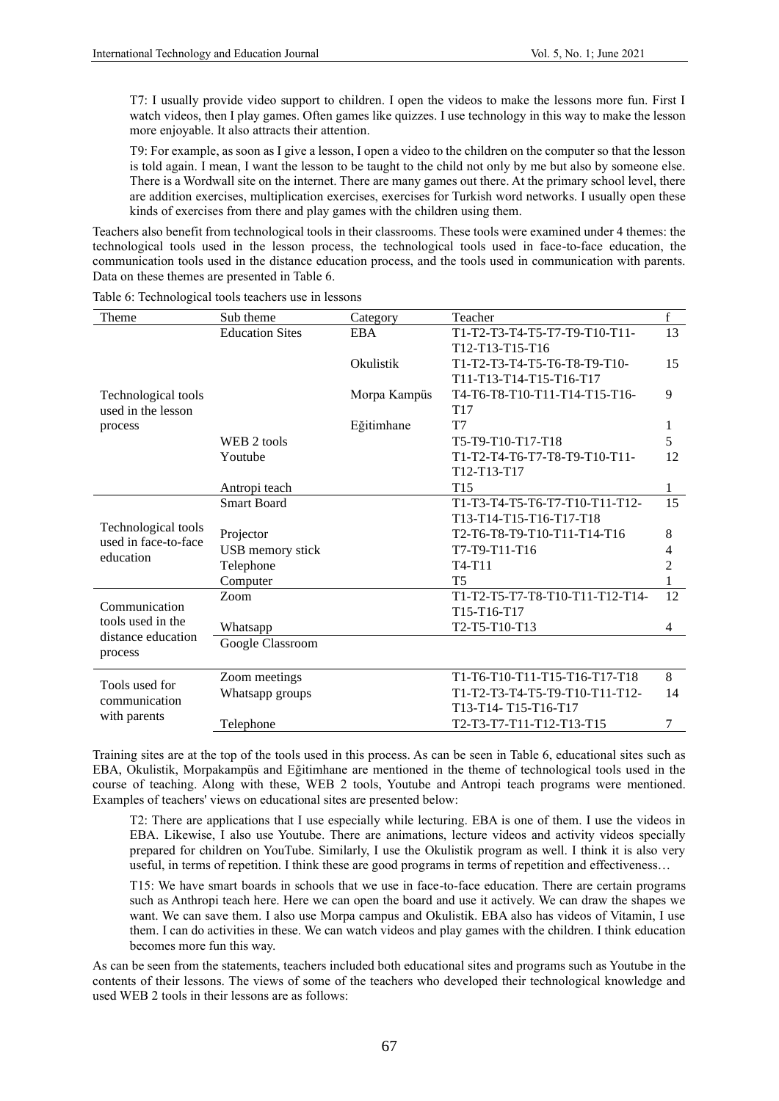T7: I usually provide video support to children. I open the videos to make the lessons more fun. First I watch videos, then I play games. Often games like quizzes. I use technology in this way to make the lesson more enjoyable. It also attracts their attention.

T9: For example, as soon as I give a lesson, I open a video to the children on the computer so that the lesson is told again. I mean, I want the lesson to be taught to the child not only by me but also by someone else. There is a Wordwall site on the internet. There are many games out there. At the primary school level, there are addition exercises, multiplication exercises, exercises for Turkish word networks. I usually open these kinds of exercises from there and play games with the children using them.

Teachers also benefit from technological tools in their classrooms. These tools were examined under 4 themes: the technological tools used in the lesson process, the technological tools used in face-to-face education, the communication tools used in the distance education process, and the tools used in communication with parents. Data on these themes are presented in Table 6.

| Theme                                                    | Sub theme              | Category     | Teacher                                                            | $f_{\rm}$ |
|----------------------------------------------------------|------------------------|--------------|--------------------------------------------------------------------|-----------|
|                                                          | <b>Education Sites</b> | <b>EBA</b>   | T1-T2-T3-T4-T5-T7-T9-T10-T11-                                      | 13        |
|                                                          |                        |              | T <sub>12</sub> -T <sub>13</sub> -T <sub>15</sub> -T <sub>16</sub> |           |
|                                                          |                        | Okulistik    | T1-T2-T3-T4-T5-T6-T8-T9-T10-                                       | 15        |
|                                                          |                        |              | T11-T13-T14-T15-T16-T17                                            |           |
| Technological tools                                      |                        | Morpa Kampüs | T4-T6-T8-T10-T11-T14-T15-T16-                                      | 9         |
| used in the lesson                                       |                        |              | T <sub>17</sub>                                                    |           |
| process                                                  |                        | Eğitimhane   | T7                                                                 | 1         |
|                                                          | WEB 2 tools            |              | T5-T9-T10-T17-T18                                                  | 5         |
|                                                          | Youtube                |              | T1-T2-T4-T6-T7-T8-T9-T10-T11-                                      | 12        |
|                                                          |                        |              | T12-T13-T17                                                        |           |
|                                                          | Antropi teach          |              | T <sub>15</sub>                                                    | 1         |
| Technological tools<br>used in face-to-face<br>education | <b>Smart Board</b>     |              | T1-T3-T4-T5-T6-T7-T10-T11-T12-                                     | 15        |
|                                                          |                        |              | T13-T14-T15-T16-T17-T18                                            |           |
|                                                          | Projector              |              | T2-T6-T8-T9-T10-T11-T14-T16                                        | 8         |
|                                                          | USB memory stick       |              | T7-T9-T11-T16                                                      | 4         |
|                                                          | Telephone              |              | $T4-T11$                                                           | 2         |
|                                                          | Computer               |              | T <sub>5</sub>                                                     | 1         |
|                                                          | Zoom                   |              | T1-T2-T5-T7-T8-T10-T11-T12-T14-                                    | 12        |
| Communication                                            |                        |              | T15-T16-T17                                                        |           |
| tools used in the                                        | Whatsapp               |              | T2-T5-T10-T13                                                      | 4         |
| distance education                                       | Google Classroom       |              |                                                                    |           |
| process                                                  |                        |              |                                                                    |           |
| Tools used for                                           | Zoom meetings          |              | T1-T6-T10-T11-T15-T16-T17-T18                                      | 8         |
|                                                          | Whatsapp groups        |              | T1-T2-T3-T4-T5-T9-T10-T11-T12-                                     | 14        |
| communication                                            |                        |              | T13-T14-T15-T16-T17                                                |           |
| with parents                                             | Telephone              |              | T2-T3-T7-T11-T12-T13-T15                                           | 7         |

Table 6: Technological tools teachers use in lessons

Training sites are at the top of the tools used in this process. As can be seen in Table 6, educational sites such as EBA, Okulistik, Morpakampüs and Eğitimhane are mentioned in the theme of technological tools used in the course of teaching. Along with these, WEB 2 tools, Youtube and Antropi teach programs were mentioned. Examples of teachers' views on educational sites are presented below:

T2: There are applications that I use especially while lecturing. EBA is one of them. I use the videos in EBA. Likewise, I also use Youtube. There are animations, lecture videos and activity videos specially prepared for children on YouTube. Similarly, I use the Okulistik program as well. I think it is also very useful, in terms of repetition. I think these are good programs in terms of repetition and effectiveness…

T15: We have smart boards in schools that we use in face-to-face education. There are certain programs such as Anthropi teach here. Here we can open the board and use it actively. We can draw the shapes we want. We can save them. I also use Morpa campus and Okulistik. EBA also has videos of Vitamin, I use them. I can do activities in these. We can watch videos and play games with the children. I think education becomes more fun this way.

As can be seen from the statements, teachers included both educational sites and programs such as Youtube in the contents of their lessons. The views of some of the teachers who developed their technological knowledge and used WEB 2 tools in their lessons are as follows: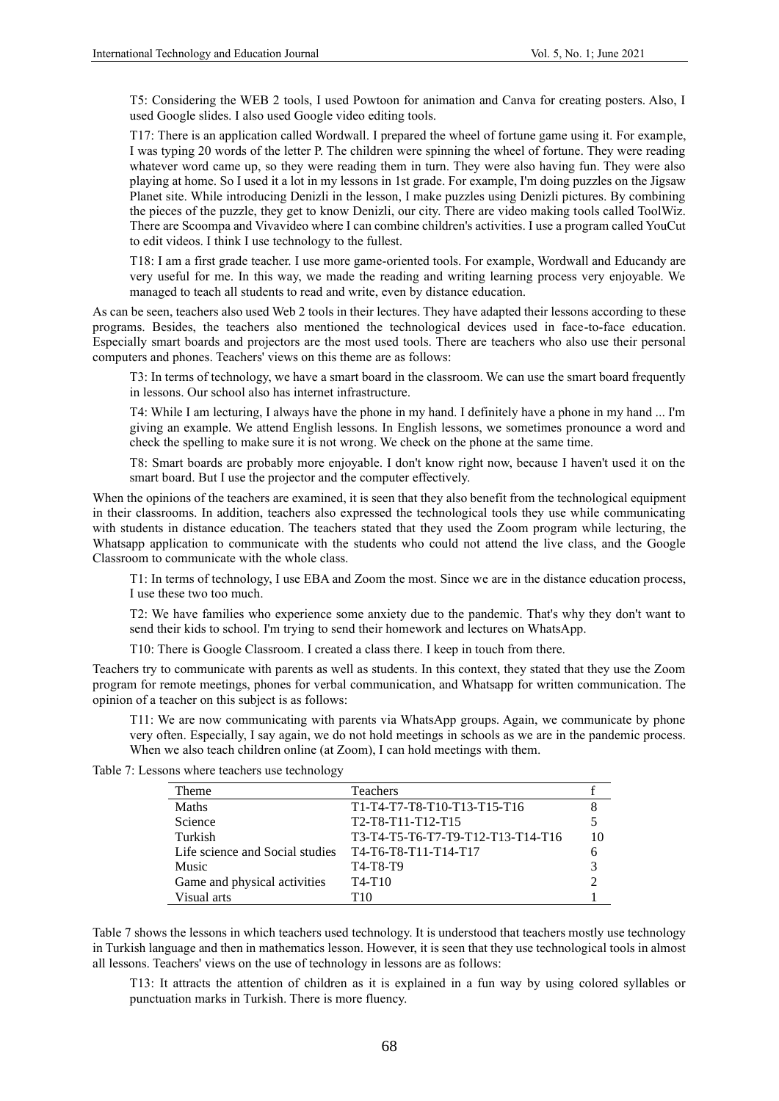T5: Considering the WEB 2 tools, I used Powtoon for animation and Canva for creating posters. Also, I used Google slides. I also used Google video editing tools.

T17: There is an application called Wordwall. I prepared the wheel of fortune game using it. For example, I was typing 20 words of the letter P. The children were spinning the wheel of fortune. They were reading whatever word came up, so they were reading them in turn. They were also having fun. They were also playing at home. So I used it a lot in my lessons in 1st grade. For example, I'm doing puzzles on the Jigsaw Planet site. While introducing Denizli in the lesson, I make puzzles using Denizli pictures. By combining the pieces of the puzzle, they get to know Denizli, our city. There are video making tools called ToolWiz. There are Scoompa and Vivavideo where I can combine children's activities. I use a program called YouCut to edit videos. I think I use technology to the fullest.

T18: I am a first grade teacher. I use more game-oriented tools. For example, Wordwall and Educandy are very useful for me. In this way, we made the reading and writing learning process very enjoyable. We managed to teach all students to read and write, even by distance education.

As can be seen, teachers also used Web 2 tools in their lectures. They have adapted their lessons according to these programs. Besides, the teachers also mentioned the technological devices used in face-to-face education. Especially smart boards and projectors are the most used tools. There are teachers who also use their personal computers and phones. Teachers' views on this theme are as follows:

T3: In terms of technology, we have a smart board in the classroom. We can use the smart board frequently in lessons. Our school also has internet infrastructure.

T4: While I am lecturing, I always have the phone in my hand. I definitely have a phone in my hand ... I'm giving an example. We attend English lessons. In English lessons, we sometimes pronounce a word and check the spelling to make sure it is not wrong. We check on the phone at the same time.

T8: Smart boards are probably more enjoyable. I don't know right now, because I haven't used it on the smart board. But I use the projector and the computer effectively.

When the opinions of the teachers are examined, it is seen that they also benefit from the technological equipment in their classrooms. In addition, teachers also expressed the technological tools they use while communicating with students in distance education. The teachers stated that they used the Zoom program while lecturing, the Whatsapp application to communicate with the students who could not attend the live class, and the Google Classroom to communicate with the whole class.

T1: In terms of technology, I use EBA and Zoom the most. Since we are in the distance education process, I use these two too much.

T2: We have families who experience some anxiety due to the pandemic. That's why they don't want to send their kids to school. I'm trying to send their homework and lectures on WhatsApp.

T10: There is Google Classroom. I created a class there. I keep in touch from there.

Teachers try to communicate with parents as well as students. In this context, they stated that they use the Zoom program for remote meetings, phones for verbal communication, and Whatsapp for written communication. The opinion of a teacher on this subject is as follows:

T11: We are now communicating with parents via WhatsApp groups. Again, we communicate by phone very often. Especially, I say again, we do not hold meetings in schools as we are in the pandemic process. When we also teach children online (at Zoom), I can hold meetings with them.

Table 7: Lessons where teachers use technology

| Theme                           | <b>Teachers</b>                                                                   |    |
|---------------------------------|-----------------------------------------------------------------------------------|----|
| Maths                           | T1-T4-T7-T8-T10-T13-T15-T16                                                       |    |
| Science                         | T <sub>2</sub> -T <sub>8</sub> -T <sub>11</sub> -T <sub>12</sub> -T <sub>15</sub> |    |
| Turkish                         | T3-T4-T5-T6-T7-T9-T12-T13-T14-T16                                                 | 10 |
| Life science and Social studies | T4-T6-T8-T11-T14-T17                                                              |    |
| Music                           | T4-T8-T9                                                                          | 3  |
| Game and physical activities    | $T4-T10$                                                                          |    |
| Visual arts                     | T10                                                                               |    |

Table 7 shows the lessons in which teachers used technology. It is understood that teachers mostly use technology in Turkish language and then in mathematics lesson. However, it is seen that they use technological tools in almost all lessons. Teachers' views on the use of technology in lessons are as follows:

T13: It attracts the attention of children as it is explained in a fun way by using colored syllables or punctuation marks in Turkish. There is more fluency.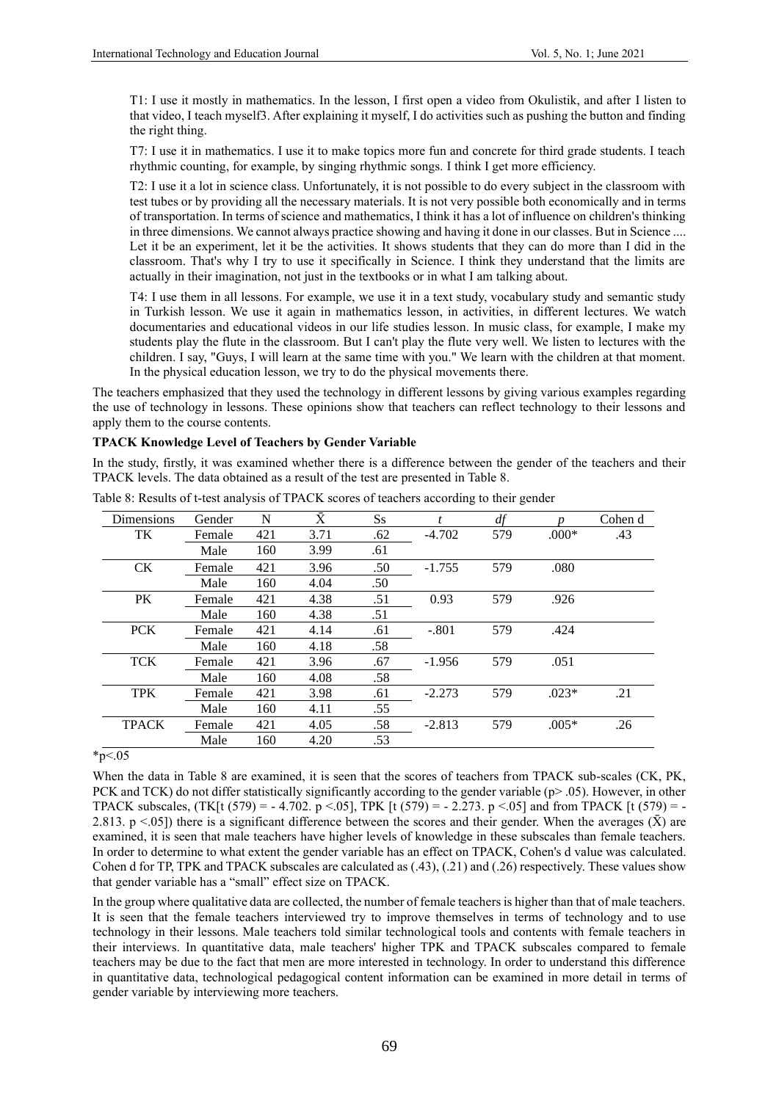T1: I use it mostly in mathematics. In the lesson, I first open a video from Okulistik, and after I listen to that video, I teach myself3. After explaining it myself, I do activities such as pushing the button and finding the right thing.

T7: I use it in mathematics. I use it to make topics more fun and concrete for third grade students. I teach rhythmic counting, for example, by singing rhythmic songs. I think I get more efficiency.

T2: I use it a lot in science class. Unfortunately, it is not possible to do every subject in the classroom with test tubes or by providing all the necessary materials. It is not very possible both economically and in terms of transportation. In terms of science and mathematics, I think it has a lot of influence on children's thinking in three dimensions. We cannot always practice showing and having it done in our classes. But in Science .... Let it be an experiment, let it be the activities. It shows students that they can do more than I did in the classroom. That's why I try to use it specifically in Science. I think they understand that the limits are actually in their imagination, not just in the textbooks or in what I am talking about.

T4: I use them in all lessons. For example, we use it in a text study, vocabulary study and semantic study in Turkish lesson. We use it again in mathematics lesson, in activities, in different lectures. We watch documentaries and educational videos in our life studies lesson. In music class, for example, I make my students play the flute in the classroom. But I can't play the flute very well. We listen to lectures with the children. I say, "Guys, I will learn at the same time with you." We learn with the children at that moment. In the physical education lesson, we try to do the physical movements there.

The teachers emphasized that they used the technology in different lessons by giving various examples regarding the use of technology in lessons. These opinions show that teachers can reflect technology to their lessons and apply them to the course contents.

#### **TPACK Knowledge Level of Teachers by Gender Variable**

In the study, firstly, it was examined whether there is a difference between the gender of the teachers and their TPACK levels. The data obtained as a result of the test are presented in Table 8.

| Dimensions           | Gender | N   | $\bar{X}$ | $S_{S}$ | $\mathbf{f}$ | df  | n       | Cohen d |
|----------------------|--------|-----|-----------|---------|--------------|-----|---------|---------|
| TK                   | Female | 421 | 3.71      | .62     | $-4.702$     | 579 | $.000*$ | .43     |
|                      | Male   | 160 | 3.99      | .61     |              |     |         |         |
| <b>CK</b>            | Female | 421 | 3.96      | .50     | $-1.755$     | 579 | .080    |         |
|                      | Male   | 160 | 4.04      | .50     |              |     |         |         |
| PK                   | Female | 421 | 4.38      | .51     | 0.93         | 579 | .926    |         |
|                      | Male   | 160 | 4.38      | .51     |              |     |         |         |
| <b>PCK</b>           | Female | 421 | 4.14      | .61     | $-.801$      | 579 | .424    |         |
|                      | Male   | 160 | 4.18      | .58     |              |     |         |         |
| <b>TCK</b>           | Female | 421 | 3.96      | .67     | $-1.956$     | 579 | .051    |         |
|                      | Male   | 160 | 4.08      | .58     |              |     |         |         |
| <b>TPK</b>           | Female | 421 | 3.98      | .61     | $-2.273$     | 579 | $.023*$ | .21     |
|                      | Male   | 160 | 4.11      | .55     |              |     |         |         |
| <b>TPACK</b>         | Female | 421 | 4.05      | .58     | $-2.813$     | 579 | $.005*$ | .26     |
|                      | Male   | 160 | 4.20      | .53     |              |     |         |         |
| $\sim$ $\sim$ $\sim$ |        |     |           |         |              |     |         |         |

Table 8: Results of t-test analysis of TPACK scores of teachers according to their gender

 $*_{p<.05}$ 

When the data in Table 8 are examined, it is seen that the scores of teachers from TPACK sub-scales (CK, PK, PCK and TCK) do not differ statistically significantly according to the gender variable (p> .05). However, in other TPACK subscales,  $(TK[t (579) = -4.702, p < .05]$ , TPK  $[t (579) = -2.273, p < .05]$  and from TPACK  $[t (579) = -1.02$ 2.813. p <.05]) there is a significant difference between the scores and their gender. When the averages  $(\bar{X})$  are examined, it is seen that male teachers have higher levels of knowledge in these subscales than female teachers. In order to determine to what extent the gender variable has an effect on TPACK, Cohen's d value was calculated. Cohen d for TP, TPK and TPACK subscales are calculated as (.43), (.21) and (.26) respectively. These values show that gender variable has a "small" effect size on TPACK.

In the group where qualitative data are collected, the number of female teachers is higher than that of male teachers. It is seen that the female teachers interviewed try to improve themselves in terms of technology and to use technology in their lessons. Male teachers told similar technological tools and contents with female teachers in their interviews. In quantitative data, male teachers' higher TPK and TPACK subscales compared to female teachers may be due to the fact that men are more interested in technology. In order to understand this difference in quantitative data, technological pedagogical content information can be examined in more detail in terms of gender variable by interviewing more teachers.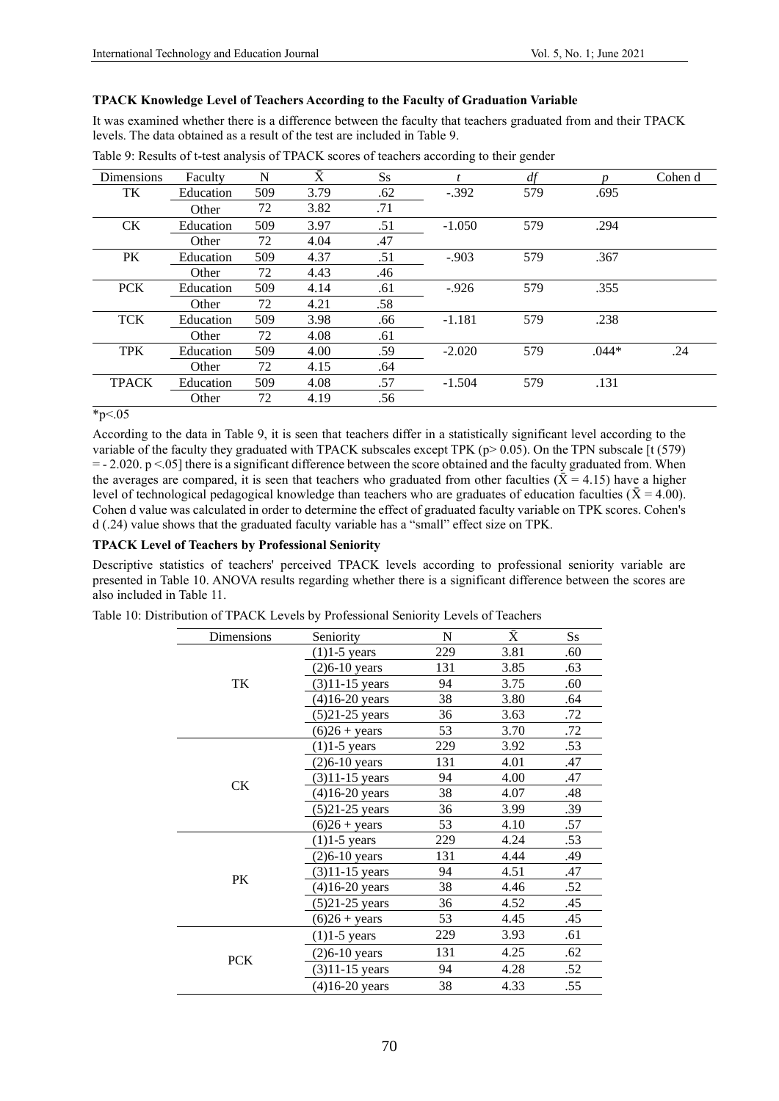# **TPACK Knowledge Level of Teachers According to the Faculty of Graduation Variable**

It was examined whether there is a difference between the faculty that teachers graduated from and their TPACK levels. The data obtained as a result of the test are included in Table 9.

| <b>Dimensions</b> | Faculty   | N   | $\bar{\rm X}$ | $S_{S}$ |          | df  |         | Cohen d |
|-------------------|-----------|-----|---------------|---------|----------|-----|---------|---------|
| TK                | Education | 509 | 3.79          | .62     | $-.392$  | 579 | .695    |         |
|                   | Other     | 72  | 3.82          | .71     |          |     |         |         |
| <b>CK</b>         | Education | 509 | 3.97          | .51     | $-1.050$ | 579 | .294    |         |
|                   | Other     | 72  | 4.04          | .47     |          |     |         |         |
| PK                | Education | 509 | 4.37          | .51     | $-.903$  | 579 | .367    |         |
|                   | Other     | 72  | 4.43          | .46     |          |     |         |         |
| <b>PCK</b>        | Education | 509 | 4.14          | .61     | $-0.926$ | 579 | .355    |         |
|                   | Other     | 72  | 4.21          | .58     |          |     |         |         |
| <b>TCK</b>        | Education | 509 | 3.98          | .66     | $-1.181$ | 579 | .238    |         |
|                   | Other     | 72  | 4.08          | .61     |          |     |         |         |
| <b>TPK</b>        | Education | 509 | 4.00          | .59     | $-2.020$ | 579 | $.044*$ | .24     |
|                   | Other     | 72  | 4.15          | .64     |          |     |         |         |
| <b>TPACK</b>      | Education | 509 | 4.08          | .57     | $-1.504$ | 579 | .131    |         |
|                   | Other     | 72  | 4.19          | .56     |          |     |         |         |

Table 9: Results of t-test analysis of TPACK scores of teachers according to their gender

# $*_{p<.05}$

According to the data in Table 9, it is seen that teachers differ in a statistically significant level according to the variable of the faculty they graduated with TPACK subscales except TPK (p> 0.05). On the TPN subscale [t (579) = - 2.020. p <.05] there is a significant difference between the score obtained and the faculty graduated from. When the averages are compared, it is seen that teachers who graduated from other faculties ( $\bar{X} = 4.15$ ) have a higher level of technological pedagogical knowledge than teachers who are graduates of education faculties ( $\bar{X} = 4.00$ ). Cohen d value was calculated in order to determine the effect of graduated faculty variable on TPK scores. Cohen's d (.24) value shows that the graduated faculty variable has a "small" effect size on TPK.

# **TPACK Level of Teachers by Professional Seniority**

Descriptive statistics of teachers' perceived TPACK levels according to professional seniority variable are presented in Table 10. ANOVA results regarding whether there is a significant difference between the scores are also included in Table 11.

| Dimensions | Seniority          | N   | Ā    | $S_{S}$ |
|------------|--------------------|-----|------|---------|
|            | $(1)1-5$ years     | 229 | 3.81 | .60     |
|            | $(2)6-10$ years    | 131 | 3.85 | .63     |
| TK         | $(3)11 - 15$ years | 94  | 3.75 | .60     |
|            | $(4)16-20$ years   | 38  | 3.80 | .64     |
|            | $(5)$ 21-25 years  | 36  | 3.63 | .72     |
|            | $(6)26 + years$    | 53  | 3.70 | .72     |
|            | $(1)1-5$ years     | 229 | 3.92 | .53     |
| <b>CK</b>  | $(2)6-10$ years    | 131 | 4.01 | .47     |
|            | $(3)11 - 15$ years | 94  | 4.00 | .47     |
|            | $(4)16-20$ years   | 38  | 4.07 | .48     |
|            | $(5)$ 21-25 years  | 36  | 3.99 | .39     |
|            | $(6)26 + years$    | 53  | 4.10 | .57     |
|            | $(1)1-5$ years     | 229 | 4.24 | .53     |
|            | $(2)6 - 10$ years  | 131 | 4.44 | .49     |
| PK         | $(3)11 - 15$ years | 94  | 4.51 | .47     |
|            | $(4)16 - 20$ years | 38  | 4.46 | .52     |
|            | $(5)$ 21-25 years  | 36  | 4.52 | .45     |
|            | $(6)26 + years$    | 53  | 4.45 | .45     |
|            | $(1)1-5$ years     | 229 | 3.93 | .61     |
|            | $(2)6-10$ years    | 131 | 4.25 | .62     |
| <b>PCK</b> | $(3)11 - 15$ years | 94  | 4.28 | .52     |
|            | $(4)16-20$ years   | 38  | 4.33 | .55     |

Table 10: Distribution of TPACK Levels by Professional Seniority Levels of Teachers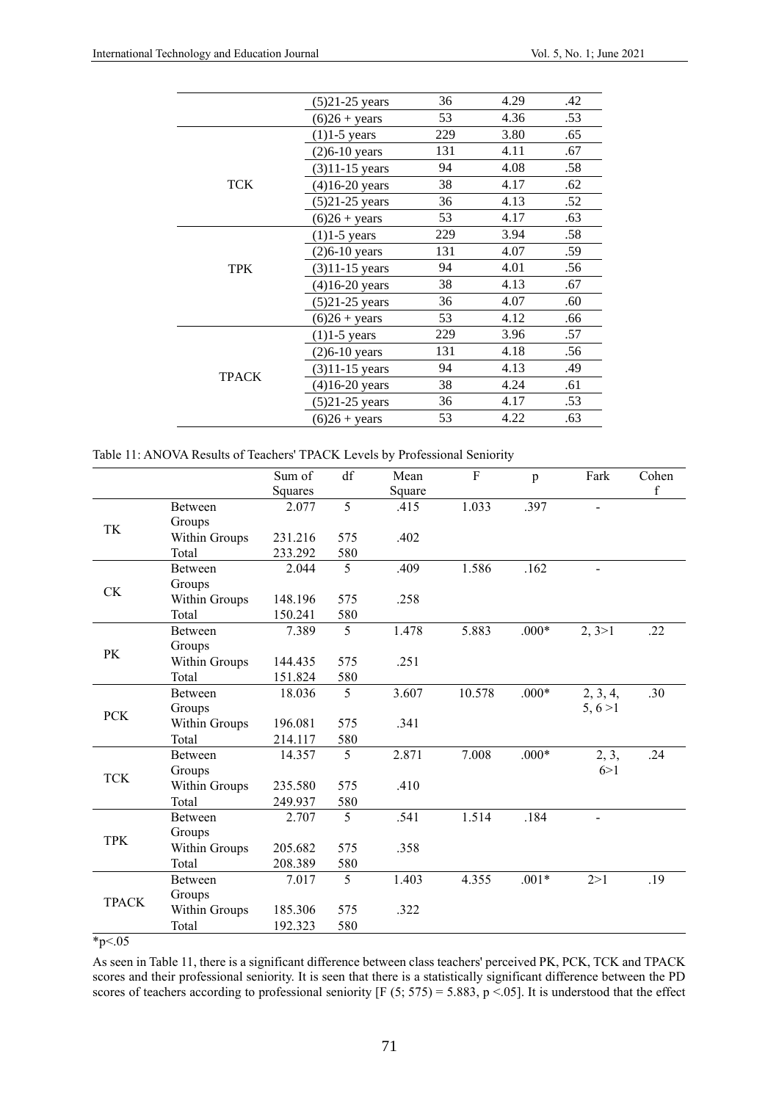|              | $(5)$ 21-25 years      | 36  | 4.29 | .42 |
|--------------|------------------------|-----|------|-----|
|              | $(6)26 + years$        | 53  | 4.36 | .53 |
|              | $(1)1-5$ years         | 229 | 3.80 | .65 |
|              | $(2)6-10$ years        | 131 | 4.11 | .67 |
|              | $(3)11 - 15$ years     | 94  | 4.08 | .58 |
| <b>TCK</b>   | $(4)16-20$ years       | 38  | 4.17 | .62 |
|              | $(5)$ 21-25 years      | 36  | 4.13 | .52 |
|              | $(6)26 + \text{years}$ | 53  | 4.17 | .63 |
|              | $(1)1-5$ years         | 229 | 3.94 | .58 |
|              | $(2)6-10$ years        | 131 | 4.07 | .59 |
| <b>TPK</b>   | $(3)11 - 15$ years     | 94  | 4.01 | .56 |
|              | $(4)16-20$ years       | 38  | 4.13 | .67 |
|              | $(5)$ 21-25 years      | 36  | 4.07 | .60 |
|              | $(6)26 + years$        | 53  | 4.12 | .66 |
|              | $(1)1-5$ years         | 229 | 3.96 | .57 |
|              | $(2)6-10$ years        | 131 | 4.18 | .56 |
| <b>TPACK</b> | $(3)11-15$ years       | 94  | 4.13 | .49 |
|              | $(4)16-20$ years       | 38  | 4.24 | .61 |
|              | $(5)$ 21-25 years      | 36  | 4.17 | .53 |
|              | $(6)26 + \text{years}$ | 53  | 4.22 | .63 |

|  | Table 11: ANOVA Results of Teachers' TPACK Levels by Professional Seniority |
|--|-----------------------------------------------------------------------------|
|  |                                                                             |

|              |                | Sum of         | df             | Mean   | $\overline{F}$ | $\mathbf{p}$ | Fark           | Cohen       |
|--------------|----------------|----------------|----------------|--------|----------------|--------------|----------------|-------------|
|              |                | <b>Squares</b> |                | Square |                |              |                | $\mathbf f$ |
|              | Between        | 2.077          | $\overline{5}$ | .415   | 1.033          | .397         | $\blacksquare$ |             |
|              | Groups         |                |                |        |                |              |                |             |
| TK           | Within Groups  | 231.216        | 575            | .402   |                |              |                |             |
|              | Total          | 233.292        | 580            |        |                |              |                |             |
|              | Between        | 2.044          | 5              | .409   | 1.586          | .162         | $\overline{a}$ |             |
| <b>CK</b>    | Groups         |                |                |        |                |              |                |             |
|              | Within Groups  | 148.196        | 575            | .258   |                |              |                |             |
|              | Total          | 150.241        | 580            |        |                |              |                |             |
|              | <b>Between</b> | 7.389          | 5              | 1.478  | 5.883          | $.000*$      | 2, 3 > 1       | .22         |
| PK           | Groups         |                |                |        |                |              |                |             |
|              | Within Groups  | 144.435        | 575            | .251   |                |              |                |             |
|              | Total          | 151.824        | 580            |        |                |              |                |             |
| <b>PCK</b>   | <b>Between</b> | 18.036         | 5              | 3.607  | 10.578         | $.000*$      | 2, 3, 4,       | .30         |
|              | Groups         |                |                |        |                |              | 5, 6 > 1       |             |
|              | Within Groups  | 196.081        | 575            | .341   |                |              |                |             |
|              | Total          | 214.117        | 580            |        |                |              |                |             |
|              | Between        | 14.357         | 5              | 2.871  | 7.008          | $.000*$      | 2, 3,          | .24         |
| <b>TCK</b>   | Groups         |                |                |        |                |              | 6>1            |             |
|              | Within Groups  | 235.580        | 575            | .410   |                |              |                |             |
|              | Total          | 249.937        | 580            |        |                |              |                |             |
|              | Between        | 2.707          | 5              | .541   | 1.514          | .184         |                |             |
| <b>TPK</b>   | Groups         |                |                |        |                |              |                |             |
|              | Within Groups  | 205.682        | 575            | .358   |                |              |                |             |
|              | Total          | 208.389        | 580            |        |                |              |                |             |
|              | <b>Between</b> | 7.017          | 5              | 1.403  | 4.355          | $.001*$      | 2 > 1          | .19         |
|              | Groups         |                |                |        |                |              |                |             |
| <b>TPACK</b> | Within Groups  | 185.306        | 575            | .322   |                |              |                |             |
|              | Total          | 192.323        | 580            |        |                |              |                |             |

 $*_{p<.05}$ 

As seen in Table 11, there is a significant difference between class teachers' perceived PK, PCK, TCK and TPACK scores and their professional seniority. It is seen that there is a statistically significant difference between the PD scores of teachers according to professional seniority [F  $(5; 575) = 5.883$ , p <.05]. It is understood that the effect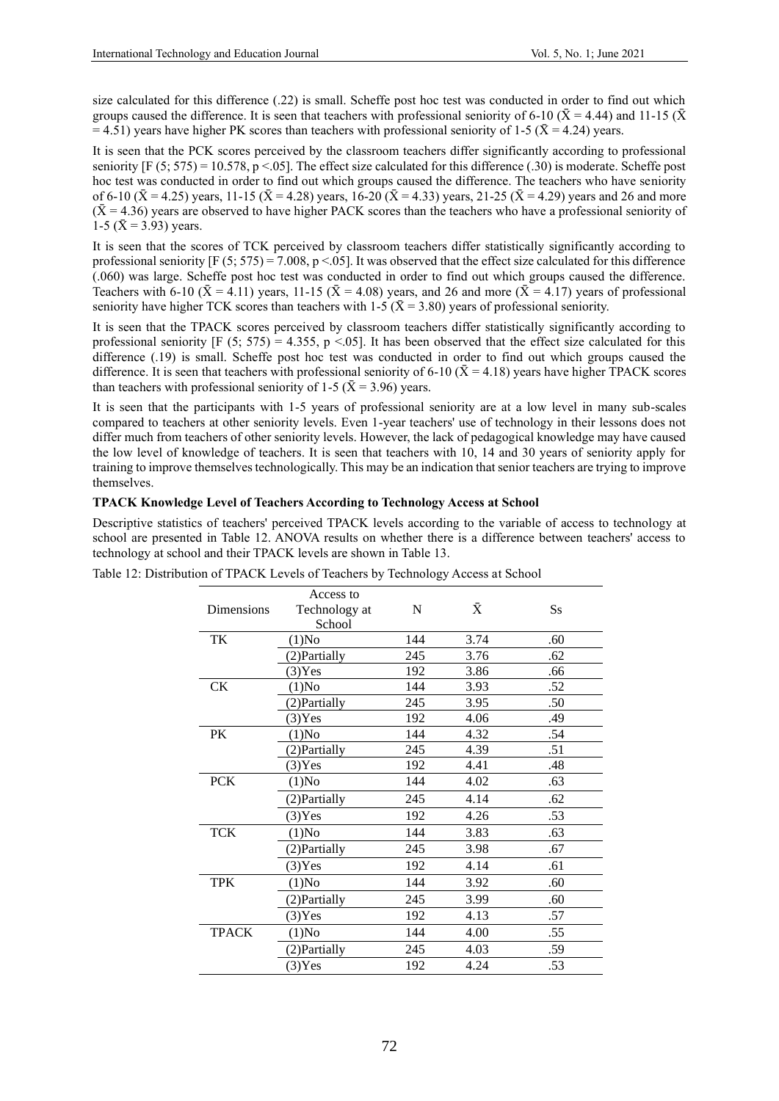size calculated for this difference (.22) is small. Scheffe post hoc test was conducted in order to find out which groups caused the difference. It is seen that teachers with professional seniority of 6-10 ( $\bar{X}$  = 4.44) and 11-15 ( $\bar{X}$ = 4.51) years have higher PK scores than teachers with professional seniority of 1-5 ( $\bar{X}$  = 4.24) years.

It is seen that the PCK scores perceived by the classroom teachers differ significantly according to professional seniority  $[F (5; 575) = 10.578, p < 0.05]$ . The effect size calculated for this difference (.30) is moderate. Scheffe post hoc test was conducted in order to find out which groups caused the difference. The teachers who have seniority of 6-10 ( $\bar{X}$  = 4.25) years, 11-15 ( $\bar{X}$  = 4.28) years, 16-20 ( $\bar{X}$  = 4.33) years, 21-25 ( $\bar{X}$  = 4.29) years and 26 and more  $(\bar{X} = 4.36)$  years are observed to have higher PACK scores than the teachers who have a professional seniority of 1-5 ( $\bar{X}$  = 3.93) years.

It is seen that the scores of TCK perceived by classroom teachers differ statistically significantly according to professional seniority  $[F (5; 575) = 7.008, p < .05]$ . It was observed that the effect size calculated for this difference (.060) was large. Scheffe post hoc test was conducted in order to find out which groups caused the difference. Teachers with 6-10 ( $\bar{X}$  = 4.11) years, 11-15 ( $\bar{X}$  = 4.08) years, and 26 and more ( $\bar{X}$  = 4.17) years of professional seniority have higher TCK scores than teachers with 1-5 ( $\bar{X}$  = 3.80) years of professional seniority.

It is seen that the TPACK scores perceived by classroom teachers differ statistically significantly according to professional seniority  $[F (5, 575) = 4.355, p < .05]$ . It has been observed that the effect size calculated for this difference (.19) is small. Scheffe post hoc test was conducted in order to find out which groups caused the difference. It is seen that teachers with professional seniority of 6-10 ( $\bar{X}$  = 4.18) years have higher TPACK scores than teachers with professional seniority of 1-5 ( $\bar{X}$  = 3.96) years.

It is seen that the participants with 1-5 years of professional seniority are at a low level in many sub-scales compared to teachers at other seniority levels. Even 1-year teachers' use of technology in their lessons does not differ much from teachers of other seniority levels. However, the lack of pedagogical knowledge may have caused the low level of knowledge of teachers. It is seen that teachers with 10, 14 and 30 years of seniority apply for training to improve themselves technologically. This may be an indication that senior teachers are trying to improve themselves.

# **TPACK Knowledge Level of Teachers According to Technology Access at School**

Descriptive statistics of teachers' perceived TPACK levels according to the variable of access to technology at school are presented in Table 12. ANOVA results on whether there is a difference between teachers' access to technology at school and their TPACK levels are shown in Table 13.

| Table 12: Distribution of TPACK Levels of Teachers by Technology Access at School |
|-----------------------------------------------------------------------------------|
|-----------------------------------------------------------------------------------|

| <b>Dimensions</b> | Access to<br>Technology at<br>School | N   | $\bar{X}$ | $S_{S}$ |
|-------------------|--------------------------------------|-----|-----------|---------|
| TK                | $(1)$ No                             | 144 | 3.74      | .60     |
|                   | (2) Partially                        | 245 | 3.76      | .62     |
|                   | $(3)$ Yes                            | 192 | 3.86      | .66     |
| CK                | $(1)$ No                             | 144 | 3.93      | .52     |
|                   | (2) Partially                        | 245 | 3.95      | .50     |
|                   | $(3)$ Yes                            | 192 | 4.06      | .49     |
| PK                | (1)No                                | 144 | 4.32      | .54     |
|                   | (2) Partially                        | 245 | 4.39      | .51     |
|                   | $(3)$ Yes                            | 192 | 4.41      | .48     |
| <b>PCK</b>        | $(1)$ No                             | 144 | 4.02      | .63     |
|                   | (2) Partially                        | 245 | 4.14      | .62     |
|                   | $(3)$ Yes                            | 192 | 4.26      | .53     |
| <b>TCK</b>        | $(1)$ No                             | 144 | 3.83      | .63     |
|                   | (2) Partially                        | 245 | 3.98      | .67     |
|                   | $(3)$ Yes                            | 192 | 4.14      | .61     |
| <b>TPK</b>        | (1)No                                | 144 | 3.92      | .60     |
|                   | (2) Partially                        | 245 | 3.99      | .60     |
|                   | $(3)$ Yes                            | 192 | 4.13      | .57     |
| <b>TPACK</b>      | $(1)$ No                             | 144 | 4.00      | .55     |
|                   | (2) Partially                        | 245 | 4.03      | .59     |
|                   | $(3)$ Yes                            | 192 | 4.24      | .53     |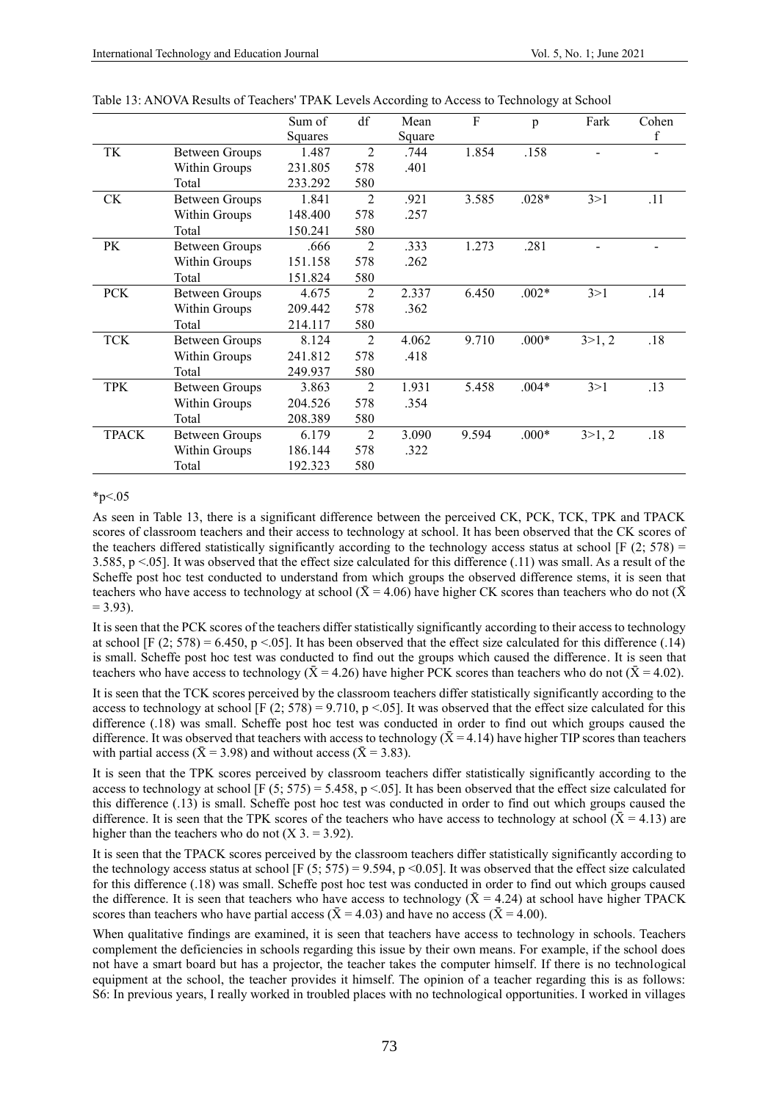|              |                       | Sum of  | df             | Mean   | $\rm F$ | p       | Fark   | Cohen |
|--------------|-----------------------|---------|----------------|--------|---------|---------|--------|-------|
|              |                       | Squares |                | Square |         |         |        | f     |
| TK           | <b>Between Groups</b> | 1.487   | $\mathfrak{D}$ | .744   | 1.854   | .158    |        |       |
|              | Within Groups         | 231.805 | 578            | .401   |         |         |        |       |
|              | Total                 | 233.292 | 580            |        |         |         |        |       |
| <b>CK</b>    | <b>Between Groups</b> | 1.841   | $\overline{2}$ | .921   | 3.585   | $.028*$ | 3 > 1  | .11   |
|              | Within Groups         | 148.400 | 578            | .257   |         |         |        |       |
|              | Total                 | 150.241 | 580            |        |         |         |        |       |
| PK           | <b>Between Groups</b> | .666    | $\overline{2}$ | .333   | 1.273   | .281    |        |       |
|              | Within Groups         | 151.158 | 578            | .262   |         |         |        |       |
|              | Total                 | 151.824 | 580            |        |         |         |        |       |
| <b>PCK</b>   | <b>Between Groups</b> | 4.675   | $\overline{2}$ | 2.337  | 6.450   | $.002*$ | 3 > 1  | .14   |
|              | Within Groups         | 209.442 | 578            | .362   |         |         |        |       |
|              | Total                 | 214.117 | 580            |        |         |         |        |       |
| <b>TCK</b>   | <b>Between Groups</b> | 8.124   | $\overline{2}$ | 4.062  | 9.710   | $.000*$ | 3>1, 2 | .18   |
|              | Within Groups         | 241.812 | 578            | .418   |         |         |        |       |
|              | Total                 | 249.937 | 580            |        |         |         |        |       |
| <b>TPK</b>   | <b>Between Groups</b> | 3.863   | $\overline{2}$ | 1.931  | 5.458   | $.004*$ | 3 > 1  | .13   |
|              | Within Groups         | 204.526 | 578            | .354   |         |         |        |       |
|              | Total                 | 208.389 | 580            |        |         |         |        |       |
| <b>TPACK</b> | <b>Between Groups</b> | 6.179   | $\overline{2}$ | 3.090  | 9.594   | $.000*$ | 3>1, 2 | .18   |
|              | Within Groups         | 186.144 | 578            | .322   |         |         |        |       |
|              | Total                 | 192.323 | 580            |        |         |         |        |       |

Table 13: ANOVA Results of Teachers' TPAK Levels According to Access to Technology at School

#### $*_{p<.05}$

As seen in Table 13, there is a significant difference between the perceived CK, PCK, TCK, TPK and TPACK scores of classroom teachers and their access to technology at school. It has been observed that the CK scores of the teachers differed statistically significantly according to the technology access status at school  $[F (2; 578) =$ 3.585,  $p < 0.05$ ]. It was observed that the effect size calculated for this difference (.11) was small. As a result of the Scheffe post hoc test conducted to understand from which groups the observed difference stems, it is seen that teachers who have access to technology at school ( $\bar{X}$  = 4.06) have higher CK scores than teachers who do not ( $\bar{X}$ )  $= 3.93$ ).

It is seen that the PCK scores of the teachers differ statistically significantly according to their access to technology at school [F (2; 578) = 6.450, p <.05]. It has been observed that the effect size calculated for this difference (.14) is small. Scheffe post hoc test was conducted to find out the groups which caused the difference. It is seen that teachers who have access to technology ( $\bar{X} = 4.26$ ) have higher PCK scores than teachers who do not ( $\bar{X} = 4.02$ ).

It is seen that the TCK scores perceived by the classroom teachers differ statistically significantly according to the access to technology at school  $[F (2; 578) = 9.710, p < .05]$ . It was observed that the effect size calculated for this difference (.18) was small. Scheffe post hoc test was conducted in order to find out which groups caused the difference. It was observed that teachers with access to technology ( $\bar{X}$  = 4.14) have higher TIP scores than teachers with partial access ( $\bar{X}$  = 3.98) and without access ( $\bar{X}$  = 3.83).

It is seen that the TPK scores perceived by classroom teachers differ statistically significantly according to the access to technology at school  $[F (5; 575) = 5.458, p < .05]$ . It has been observed that the effect size calculated for this difference (.13) is small. Scheffe post hoc test was conducted in order to find out which groups caused the difference. It is seen that the TPK scores of the teachers who have access to technology at school ( $\bar{X}$  = 4.13) are higher than the teachers who do not  $(X 3 = 3.92)$ .

It is seen that the TPACK scores perceived by the classroom teachers differ statistically significantly according to the technology access status at school [F (5; 575) = 9.594, p <0.05]. It was observed that the effect size calculated for this difference (.18) was small. Scheffe post hoc test was conducted in order to find out which groups caused the difference. It is seen that teachers who have access to technology ( $\bar{X}$  = 4.24) at school have higher TPACK scores than teachers who have partial access ( $\bar{X} = 4.03$ ) and have no access ( $\bar{X} = 4.00$ ).

When qualitative findings are examined, it is seen that teachers have access to technology in schools. Teachers complement the deficiencies in schools regarding this issue by their own means. For example, if the school does not have a smart board but has a projector, the teacher takes the computer himself. If there is no technological equipment at the school, the teacher provides it himself. The opinion of a teacher regarding this is as follows: S6: In previous years, I really worked in troubled places with no technological opportunities. I worked in villages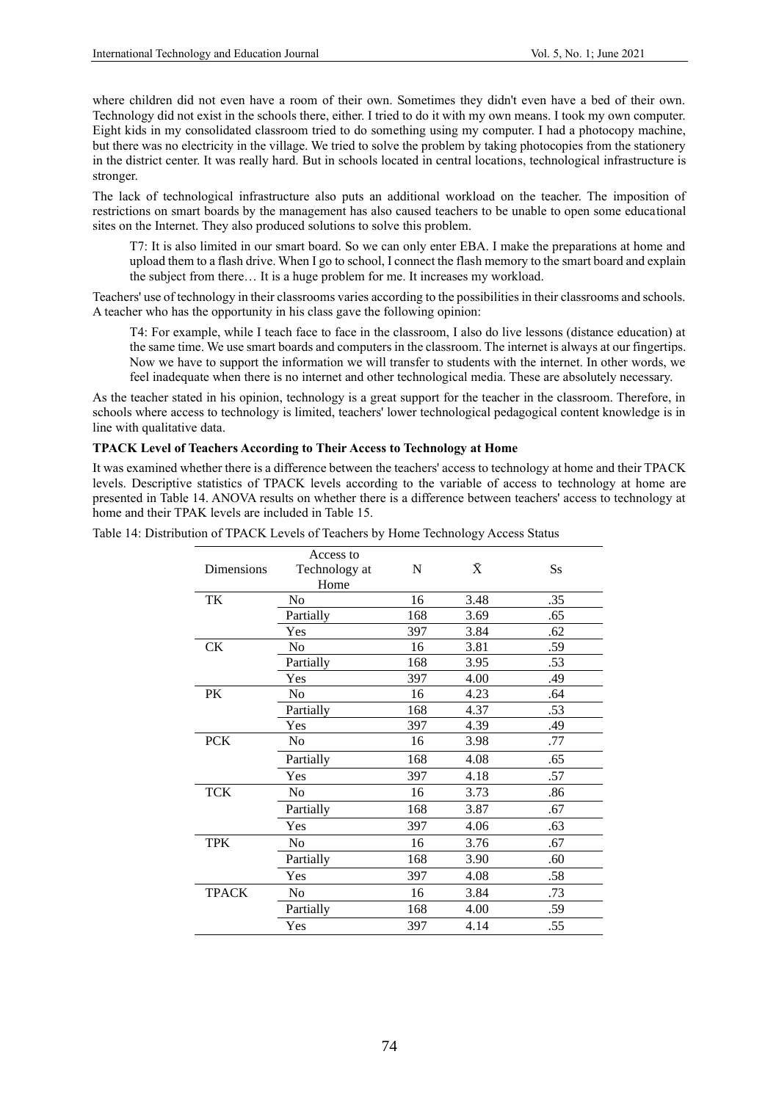where children did not even have a room of their own. Sometimes they didn't even have a bed of their own. Technology did not exist in the schools there, either. I tried to do it with my own means. I took my own computer. Eight kids in my consolidated classroom tried to do something using my computer. I had a photocopy machine, but there was no electricity in the village. We tried to solve the problem by taking photocopies from the stationery in the district center. It was really hard. But in schools located in central locations, technological infrastructure is stronger.

The lack of technological infrastructure also puts an additional workload on the teacher. The imposition of restrictions on smart boards by the management has also caused teachers to be unable to open some educational sites on the Internet. They also produced solutions to solve this problem.

T7: It is also limited in our smart board. So we can only enter EBA. I make the preparations at home and upload them to a flash drive. When I go to school, I connect the flash memory to the smart board and explain the subject from there… It is a huge problem for me. It increases my workload.

Teachers' use of technology in their classrooms varies according to the possibilities in their classrooms and schools. A teacher who has the opportunity in his class gave the following opinion:

T4: For example, while I teach face to face in the classroom, I also do live lessons (distance education) at the same time. We use smart boards and computers in the classroom. The internet is always at our fingertips. Now we have to support the information we will transfer to students with the internet. In other words, we feel inadequate when there is no internet and other technological media. These are absolutely necessary.

As the teacher stated in his opinion, technology is a great support for the teacher in the classroom. Therefore, in schools where access to technology is limited, teachers' lower technological pedagogical content knowledge is in line with qualitative data.

# **TPACK Level of Teachers According to Their Access to Technology at Home**

It was examined whether there is a difference between the teachers' access to technology at home and their TPACK levels. Descriptive statistics of TPACK levels according to the variable of access to technology at home are presented in Table 14. ANOVA results on whether there is a difference between teachers' access to technology at home and their TPAK levels are included in Table 15.

| Dimensions   | Access to<br>Technology at<br>Home | $\mathbf N$ | $\bar{\text{X}}$ | $S_{S}$ |
|--------------|------------------------------------|-------------|------------------|---------|
| TK           | No                                 | 16          | 3.48             | .35     |
|              | Partially                          | 168         | 3.69             | .65     |
|              | Yes                                | 397         | 3.84             | .62     |
| <b>CK</b>    | N <sub>0</sub>                     | 16          | 3.81             | .59     |
|              | Partially                          | 168         | 3.95             | .53     |
|              | Yes                                | 397         | 4.00             | .49     |
| PK           | N <sub>o</sub>                     | 16          | 4.23             | .64     |
|              | Partially                          | 168         | 4.37             | .53     |
|              | Yes                                | 397         | 4.39             | .49     |
| <b>PCK</b>   | N <sub>0</sub>                     | 16          | 3.98             | .77     |
|              | Partially                          | 168         | 4.08             | .65     |
|              | Yes                                | 397         | 4.18             | .57     |
| <b>TCK</b>   | N <sub>0</sub>                     | 16          | 3.73             | .86     |
|              | Partially                          | 168         | 3.87             | .67     |
|              | Yes                                | 397         | 4.06             | .63     |
| <b>TPK</b>   | No                                 | 16          | 3.76             | .67     |
|              | Partially                          | 168         | 3.90             | .60     |
|              | Yes                                | 397         | 4.08             | .58     |
| <b>TPACK</b> | No                                 | 16          | 3.84             | .73     |
|              | Partially                          | 168         | 4.00             | .59     |
|              | Yes                                | 397         | 4.14             | .55     |
|              |                                    |             |                  |         |

Table 14: Distribution of TPACK Levels of Teachers by Home Technology Access Status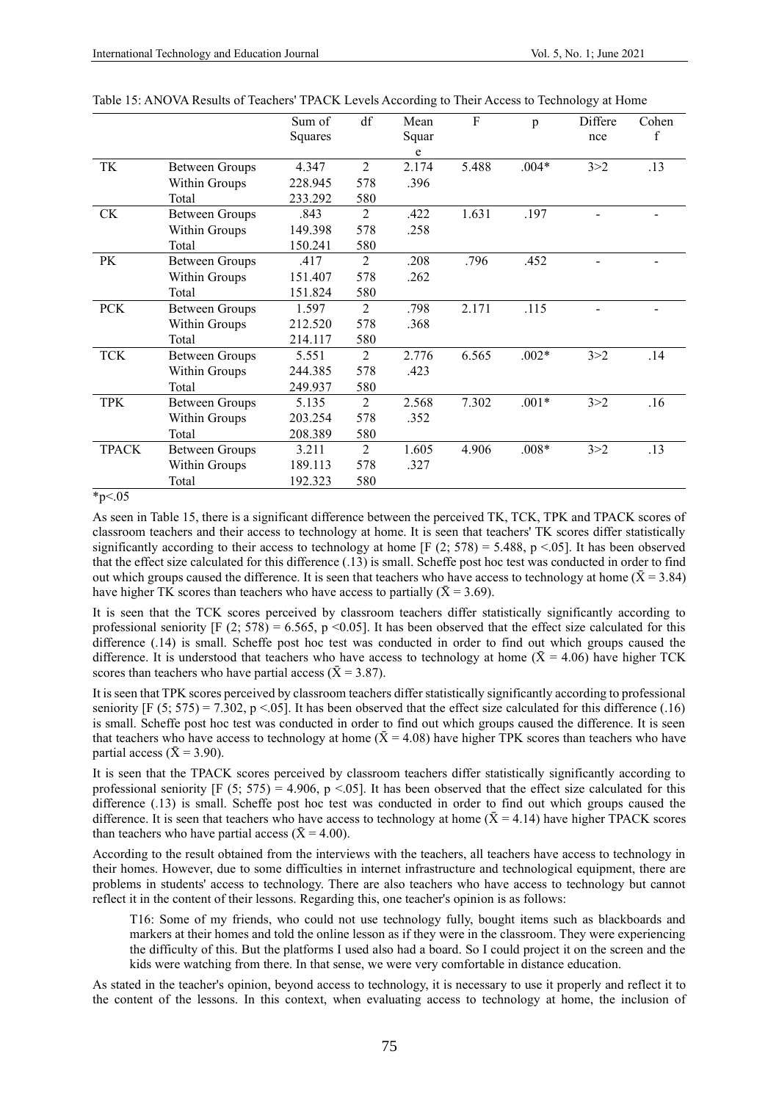|            |                       | Sum of  | df  | Mean  | $\rm F$ | p       | Differe | Cohen |
|------------|-----------------------|---------|-----|-------|---------|---------|---------|-------|
|            |                       | Squares |     | Squar |         |         | nce     | f     |
|            |                       |         |     | e     |         |         |         |       |
| TK         | <b>Between Groups</b> | 4.347   | 2   | 2.174 | 5.488   | $.004*$ | 3 > 2   | .13   |
|            | Within Groups         | 228.945 | 578 | .396  |         |         |         |       |
|            | Total                 | 233.292 | 580 |       |         |         |         |       |
| <b>CK</b>  | <b>Between Groups</b> | .843    | 2   | .422  | 1.631   | .197    |         |       |
|            | Within Groups         | 149.398 | 578 | .258  |         |         |         |       |
|            | Total                 | 150.241 | 580 |       |         |         |         |       |
| PK         | <b>Between Groups</b> | .417    | 2   | .208  | .796    | .452    |         |       |
|            | Within Groups         | 151.407 | 578 | .262  |         |         |         |       |
|            | Total                 | 151.824 | 580 |       |         |         |         |       |
| <b>PCK</b> | <b>Between Groups</b> | 1.597   | 2   | .798  | 2.171   | .115    |         |       |
|            | Within Groups         | 212.520 | 578 | .368  |         |         |         |       |
|            | Total                 | 214.117 | 580 |       |         |         |         |       |
| <b>TCK</b> | <b>Between Groups</b> | 5.551   | 2   | 2.776 | 6.565   | $.002*$ | 3 > 2   | .14   |
|            | Within Groups         | 244.385 | 578 | .423  |         |         |         |       |
|            | Total                 | 249.937 | 580 |       |         |         |         |       |
| <b>TPK</b> | <b>Between Groups</b> | 5.135   | 2   | 2.568 | 7.302   | $.001*$ | 3 > 2   | .16   |
|            | Within Groups         | 203.254 | 578 | .352  |         |         |         |       |
|            | Total                 | 208.389 | 580 |       |         |         |         |       |
| TPACK      | <b>Between Groups</b> | 3.211   | 2   | 1.605 | 4.906   | $.008*$ | 3 > 2   | .13   |
|            | Within Groups         | 189.113 | 578 | .327  |         |         |         |       |
|            | Total                 | 192.323 | 580 |       |         |         |         |       |

Table 15: ANOVA Results of Teachers' TPACK Levels According to Their Access to Technology at Home

#### $*_{p<.05}$

As seen in Table 15, there is a significant difference between the perceived TK, TCK, TPK and TPACK scores of classroom teachers and their access to technology at home. It is seen that teachers' TK scores differ statistically significantly according to their access to technology at home [F (2; 578) = 5.488, p <.05]. It has been observed that the effect size calculated for this difference (.13) is small. Scheffe post hoc test was conducted in order to find out which groups caused the difference. It is seen that teachers who have access to technology at home ( $\bar{X}$  = 3.84) have higher TK scores than teachers who have access to partially ( $\bar{X} = 3.69$ ).

It is seen that the TCK scores perceived by classroom teachers differ statistically significantly according to professional seniority  $[F (2; 578) = 6.565, p \le 0.05]$ . It has been observed that the effect size calculated for this difference (.14) is small. Scheffe post hoc test was conducted in order to find out which groups caused the difference. It is understood that teachers who have access to technology at home ( $\bar{X}$  = 4.06) have higher TCK scores than teachers who have partial access ( $\bar{X}$  = 3.87).

It is seen that TPK scores perceived by classroom teachers differ statistically significantly according to professional seniority  $[F (5; 575) = 7.302, p < .05]$ . It has been observed that the effect size calculated for this difference (.16) is small. Scheffe post hoc test was conducted in order to find out which groups caused the difference. It is seen that teachers who have access to technology at home  $(X = 4.08)$  have higher TPK scores than teachers who have partial access ( $\bar{X}$  = 3.90).

It is seen that the TPACK scores perceived by classroom teachers differ statistically significantly according to professional seniority  $[F (5; 575) = 4.906, p < .05]$ . It has been observed that the effect size calculated for this difference (.13) is small. Scheffe post hoc test was conducted in order to find out which groups caused the difference. It is seen that teachers who have access to technology at home  $(\bar{X} = 4.14)$  have higher TPACK scores than teachers who have partial access ( $\bar{X} = 4.00$ ).

According to the result obtained from the interviews with the teachers, all teachers have access to technology in their homes. However, due to some difficulties in internet infrastructure and technological equipment, there are problems in students' access to technology. There are also teachers who have access to technology but cannot reflect it in the content of their lessons. Regarding this, one teacher's opinion is as follows:

T16: Some of my friends, who could not use technology fully, bought items such as blackboards and markers at their homes and told the online lesson as if they were in the classroom. They were experiencing the difficulty of this. But the platforms I used also had a board. So I could project it on the screen and the kids were watching from there. In that sense, we were very comfortable in distance education.

As stated in the teacher's opinion, beyond access to technology, it is necessary to use it properly and reflect it to the content of the lessons. In this context, when evaluating access to technology at home, the inclusion of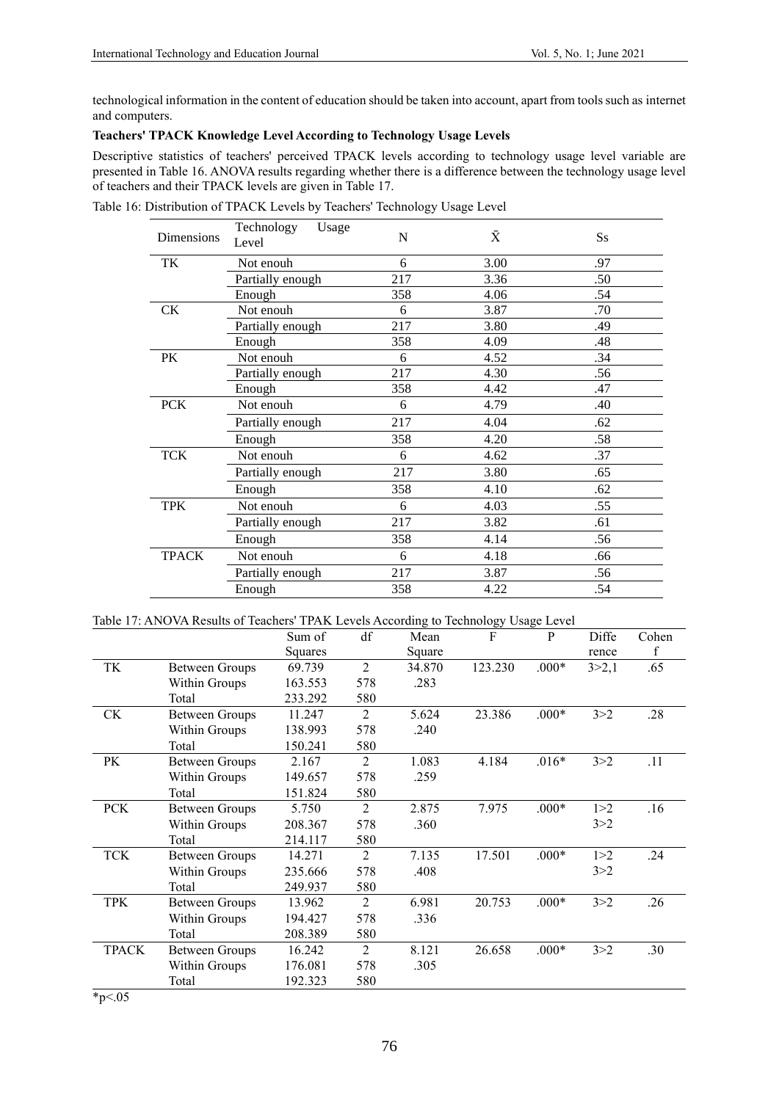technological information in the content of education should be taken into account, apart from tools such as internet and computers.

# **Teachers' TPACK Knowledge Level According to Technology Usage Levels**

Descriptive statistics of teachers' perceived TPACK levels according to technology usage level variable are presented in Table 16. ANOVA results regarding whether there is a difference between the technology usage level of teachers and their TPACK levels are given in Table 17.

| Dimensions   | Technology<br>Usage<br>Level | N   | $\bar{X}$ | <b>Ss</b> |
|--------------|------------------------------|-----|-----------|-----------|
| TK           | Not enouh                    | 6   | 3.00      | .97       |
|              | Partially enough             | 217 | 3.36      | .50       |
|              | Enough                       | 358 | 4.06      | .54       |
| CK           | Not enouh                    | 6   | 3.87      | .70       |
|              | Partially enough             | 217 | 3.80      | .49       |
|              | Enough                       | 358 | 4.09      | .48       |
| PK           | Not enouh                    | 6   | 4.52      | .34       |
|              | Partially enough             | 217 | 4.30      | .56       |
|              | Enough                       | 358 | 4.42      | .47       |
| <b>PCK</b>   | Not enouh                    | 6   | 4.79      | .40       |
|              | Partially enough             | 217 | 4.04      | .62       |
|              | Enough                       | 358 | 4.20      | .58       |
| <b>TCK</b>   | Not enouh                    | 6   | 4.62      | .37       |
|              | Partially enough             | 217 | 3.80      | .65       |
|              | Enough                       | 358 | 4.10      | .62       |
| <b>TPK</b>   | Not enouh                    | 6   | 4.03      | .55       |
|              | Partially enough             | 217 | 3.82      | .61       |
|              | Enough                       | 358 | 4.14      | .56       |
| <b>TPACK</b> | Not enouh                    | 6   | 4.18      | .66       |
|              | Partially enough             | 217 | 3.87      | .56       |
|              | Enough                       | 358 | 4.22      | .54       |

Table 16: Distribution of TPACK Levels by Teachers' Technology Usage Level

| Table 17: ANOVA Results of Teachers' TPAK Levels According to Technology Usage Level |  |  |
|--------------------------------------------------------------------------------------|--|--|
|                                                                                      |  |  |

|              |                       | Sum of  | df             | Mean   | F       | P       | Diffe   | Cohen       |
|--------------|-----------------------|---------|----------------|--------|---------|---------|---------|-------------|
|              |                       | Squares |                | Square |         |         | rence   | $\mathbf f$ |
| TK           | Between Groups        | 69.739  | 2              | 34.870 | 123.230 | $.000*$ | 3 > 2,1 | .65         |
|              | Within Groups         | 163.553 | 578            | .283   |         |         |         |             |
|              | Total                 | 233.292 | 580            |        |         |         |         |             |
| <b>CK</b>    | <b>Between Groups</b> | 11.247  | 2              | 5.624  | 23.386  | $.000*$ | 3 > 2   | .28         |
|              | Within Groups         | 138.993 | 578            | .240   |         |         |         |             |
|              | Total                 | 150.241 | 580            |        |         |         |         |             |
| PK           | <b>Between Groups</b> | 2.167   | 2              | 1.083  | 4.184   | $.016*$ | 3 > 2   | .11         |
|              | Within Groups         | 149.657 | 578            | .259   |         |         |         |             |
|              | Total                 | 151.824 | 580            |        |         |         |         |             |
| <b>PCK</b>   | <b>Between Groups</b> | 5.750   | 2              | 2.875  | 7.975   | $.000*$ | 1 > 2   | .16         |
|              | Within Groups         | 208.367 | 578            | .360   |         |         | 3 > 2   |             |
|              | Total                 | 214.117 | 580            |        |         |         |         |             |
| <b>TCK</b>   | Between Groups        | 14.271  | 2              | 7.135  | 17.501  | $.000*$ | 1 > 2   | .24         |
|              | Within Groups         | 235.666 | 578            | .408   |         |         | 3 > 2   |             |
|              | Total                 | 249.937 | 580            |        |         |         |         |             |
| <b>TPK</b>   | Between Groups        | 13.962  | 2              | 6.981  | 20.753  | $.000*$ | 3 > 2   | .26         |
|              | Within Groups         | 194.427 | 578            | .336   |         |         |         |             |
|              | Total                 | 208.389 | 580            |        |         |         |         |             |
| <b>TPACK</b> | <b>Between Groups</b> | 16.242  | $\overline{2}$ | 8.121  | 26.658  | $.000*$ | 3 > 2   | .30         |
|              | Within Groups         | 176.081 | 578            | .305   |         |         |         |             |
|              | Total                 | 192.323 | 580            |        |         |         |         |             |

 $*_{p<.05}$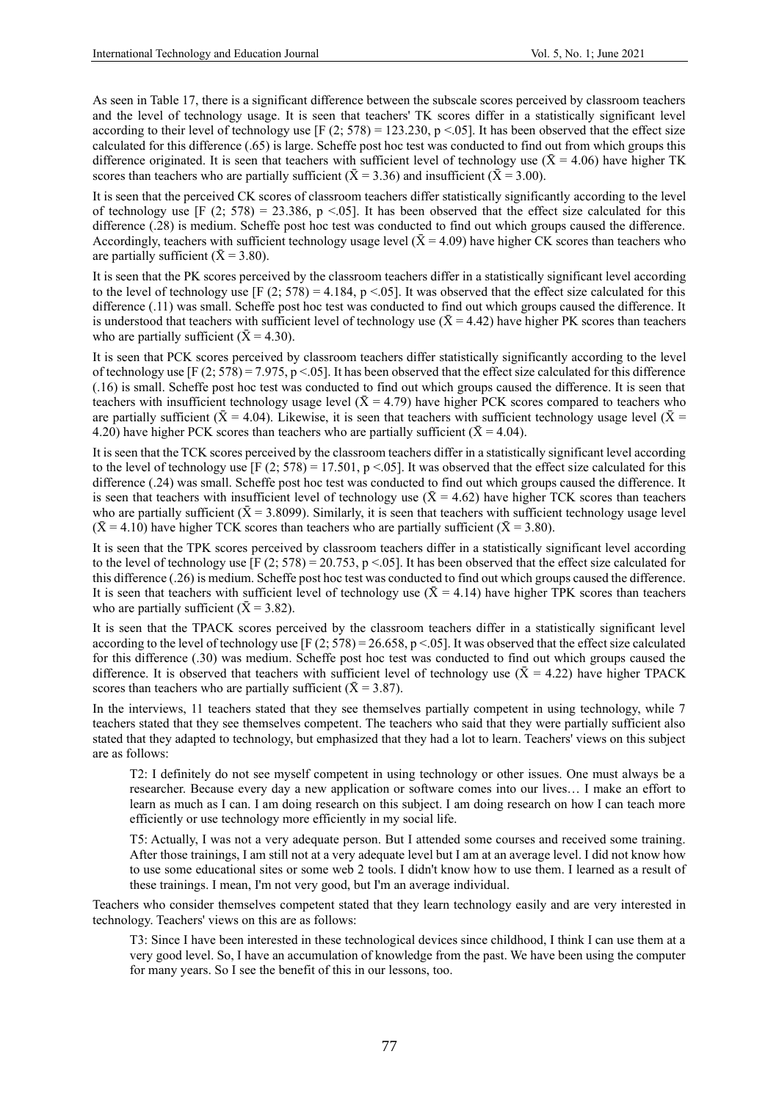As seen in Table 17, there is a significant difference between the subscale scores perceived by classroom teachers and the level of technology usage. It is seen that teachers' TK scores differ in a statistically significant level according to their level of technology use  $[F (2; 578) = 123.230, p < .05]$ . It has been observed that the effect size calculated for this difference (.65) is large. Scheffe post hoc test was conducted to find out from which groups this difference originated. It is seen that teachers with sufficient level of technology use ( $\bar{X}$  = 4.06) have higher TK scores than teachers who are partially sufficient ( $\bar{X} = 3.36$ ) and insufficient ( $\bar{X} = 3.00$ ).

It is seen that the perceived CK scores of classroom teachers differ statistically significantly according to the level of technology use  $[F (2; 578) = 23.386, p < .05]$ . It has been observed that the effect size calculated for this difference (.28) is medium. Scheffe post hoc test was conducted to find out which groups caused the difference. Accordingly, teachers with sufficient technology usage level  $({\bar X} = 4.09)$  have higher CK scores than teachers who are partially sufficient ( $\bar{X} = 3.80$ ).

It is seen that the PK scores perceived by the classroom teachers differ in a statistically significant level according to the level of technology use  $[F (2, 578) = 4.184, p < .05]$ . It was observed that the effect size calculated for this difference (.11) was small. Scheffe post hoc test was conducted to find out which groups caused the difference. It is understood that teachers with sufficient level of technology use  $({\bar X} = 4.42)$  have higher PK scores than teachers who are partially sufficient ( $\bar{X}$  = 4.30).

It is seen that PCK scores perceived by classroom teachers differ statistically significantly according to the level of technology use  $[F (2; 578) = 7.975, p < .05]$ . It has been observed that the effect size calculated for this difference (.16) is small. Scheffe post hoc test was conducted to find out which groups caused the difference. It is seen that teachers with insufficient technology usage level ( $\bar{X}$  = 4.79) have higher PCK scores compared to teachers who are partially sufficient ( $\bar{X} = 4.04$ ). Likewise, it is seen that teachers with sufficient technology usage level ( $\bar{X} =$ 4.20) have higher PCK scores than teachers who are partially sufficient ( $\bar{X}$  = 4.04).

It is seen that the TCK scores perceived by the classroom teachers differ in a statistically significant level according to the level of technology use  $[F (2; 578) = 17.501, p < .05]$ . It was observed that the effect size calculated for this difference (.24) was small. Scheffe post hoc test was conducted to find out which groups caused the difference. It is seen that teachers with insufficient level of technology use ( $\bar{X}$  = 4.62) have higher TCK scores than teachers who are partially sufficient ( $\bar{X} = 3.8099$ ). Similarly, it is seen that teachers with sufficient technology usage level  $(\bar{X} = 4.10)$  have higher TCK scores than teachers who are partially sufficient  $(\bar{X} = 3.80)$ .

It is seen that the TPK scores perceived by classroom teachers differ in a statistically significant level according to the level of technology use  $[F (2; 578) = 20.753, p < .05]$ . It has been observed that the effect size calculated for this difference (.26) is medium. Scheffe post hoc test was conducted to find out which groups caused the difference. It is seen that teachers with sufficient level of technology use  $({\bar X} = 4.14)$  have higher TPK scores than teachers who are partially sufficient ( $\bar{X}$  = 3.82).

It is seen that the TPACK scores perceived by the classroom teachers differ in a statistically significant level according to the level of technology use [F  $(2, 578) = 26.658$ , p < 05]. It was observed that the effect size calculated for this difference (.30) was medium. Scheffe post hoc test was conducted to find out which groups caused the difference. It is observed that teachers with sufficient level of technology use  $(X = 4.22)$  have higher TPACK scores than teachers who are partially sufficient ( $\bar{X} = 3.87$ ).

In the interviews, 11 teachers stated that they see themselves partially competent in using technology, while 7 teachers stated that they see themselves competent. The teachers who said that they were partially sufficient also stated that they adapted to technology, but emphasized that they had a lot to learn. Teachers' views on this subject are as follows:

T2: I definitely do not see myself competent in using technology or other issues. One must always be a researcher. Because every day a new application or software comes into our lives… I make an effort to learn as much as I can. I am doing research on this subject. I am doing research on how I can teach more efficiently or use technology more efficiently in my social life.

T5: Actually, I was not a very adequate person. But I attended some courses and received some training. After those trainings, I am still not at a very adequate level but I am at an average level. I did not know how to use some educational sites or some web 2 tools. I didn't know how to use them. I learned as a result of these trainings. I mean, I'm not very good, but I'm an average individual.

Teachers who consider themselves competent stated that they learn technology easily and are very interested in technology. Teachers' views on this are as follows:

T3: Since I have been interested in these technological devices since childhood, I think I can use them at a very good level. So, I have an accumulation of knowledge from the past. We have been using the computer for many years. So I see the benefit of this in our lessons, too.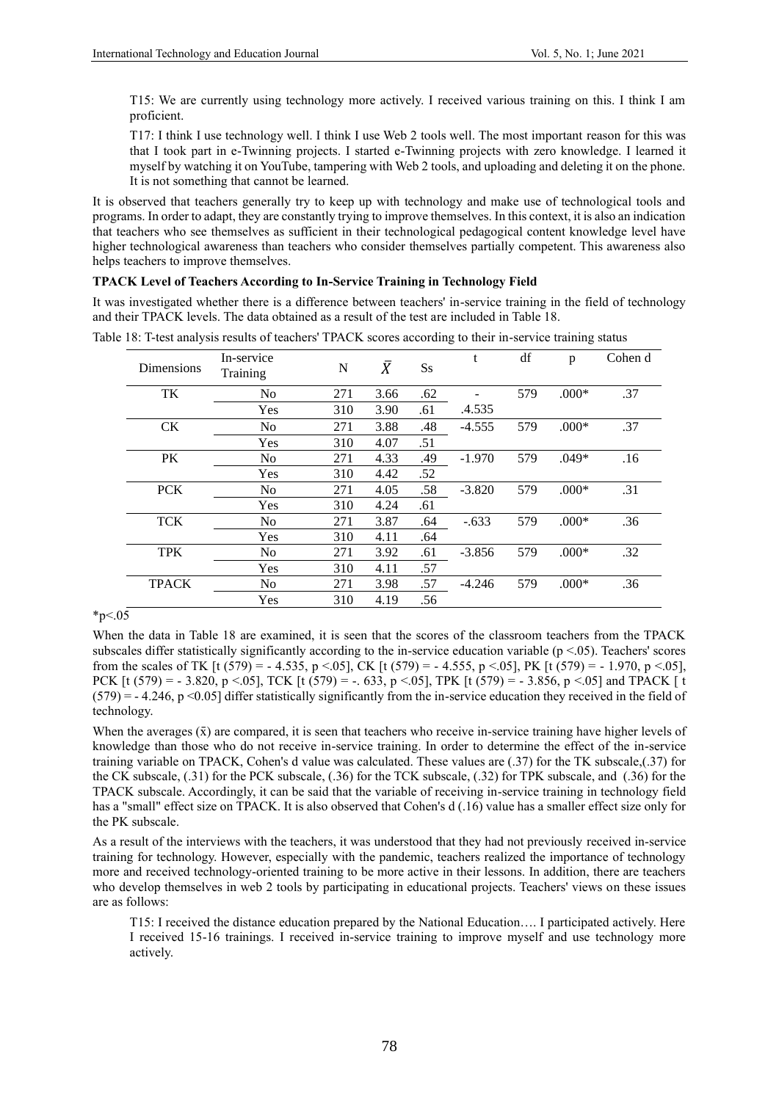T15: We are currently using technology more actively. I received various training on this. I think I am proficient.

T17: I think I use technology well. I think I use Web 2 tools well. The most important reason for this was that I took part in e-Twinning projects. I started e-Twinning projects with zero knowledge. I learned it myself by watching it on YouTube, tampering with Web 2 tools, and uploading and deleting it on the phone. It is not something that cannot be learned.

It is observed that teachers generally try to keep up with technology and make use of technological tools and programs. In order to adapt, they are constantly trying to improve themselves. In this context, it is also an indication that teachers who see themselves as sufficient in their technological pedagogical content knowledge level have higher technological awareness than teachers who consider themselves partially competent. This awareness also helps teachers to improve themselves.

# **TPACK Level of Teachers According to In-Service Training in Technology Field**

It was investigated whether there is a difference between teachers' in-service training in the field of technology and their TPACK levels. The data obtained as a result of the test are included in Table 18.

| <b>Dimensions</b> | In-service<br>Training | N   | $\bar{X}$ | $S_{S}$ | t        | df  | p       | Cohen d |
|-------------------|------------------------|-----|-----------|---------|----------|-----|---------|---------|
| TK                | No                     | 271 | 3.66      | .62     |          | 579 | $.000*$ | .37     |
|                   | Yes                    | 310 | 3.90      | .61     | .4.535   |     |         |         |
| <b>CK</b>         | No                     | 271 | 3.88      | .48     | $-4.555$ | 579 | $.000*$ | .37     |
|                   | Yes                    | 310 | 4.07      | .51     |          |     |         |         |
| PK                | No                     | 271 | 4.33      | .49     | $-1.970$ | 579 | $.049*$ | .16     |
|                   | Yes                    | 310 | 4.42      | .52     |          |     |         |         |
| <b>PCK</b>        | No                     | 271 | 4.05      | .58     | $-3.820$ | 579 | $.000*$ | .31     |
|                   | Yes                    | 310 | 4.24      | .61     |          |     |         |         |
| <b>TCK</b>        | No                     | 271 | 3.87      | .64     | $-.633$  | 579 | $.000*$ | .36     |
|                   | Yes                    | 310 | 4.11      | .64     |          |     |         |         |
| <b>TPK</b>        | N <sub>o</sub>         | 271 | 3.92      | .61     | $-3.856$ | 579 | $.000*$ | .32     |
|                   | Yes                    | 310 | 4.11      | .57     |          |     |         |         |
| <b>TPACK</b>      | N <sub>o</sub>         | 271 | 3.98      | .57     | $-4.246$ | 579 | $.000*$ | .36     |
|                   | Yes                    | 310 | 4.19      | .56     |          |     |         |         |

Table 18: T-test analysis results of teachers' TPACK scores according to their in-service training status

# $*_{p<.05}$

When the data in Table 18 are examined, it is seen that the scores of the classroom teachers from the TPACK subscales differ statistically significantly according to the in-service education variable  $(p < .05)$ . Teachers' scores from the scales of TK [t (579) = - 4.535, p < 05], CK [t (579) = - 4.555, p < 05], PK [t (579) = - 1.970, p < 05], PCK  $[t (579) = -3.820, p < .05]$ , TCK  $[t (579) = -.633, p < .05]$ , TPK  $[t (579) = -3.856, p < .05]$  and TPACK  $[t (579) = -.05]$  $(579) = -4.246$ , p <0.05] differ statistically significantly from the in-service education they received in the field of technology.

When the averages  $(\bar{x})$  are compared, it is seen that teachers who receive in-service training have higher levels of knowledge than those who do not receive in-service training. In order to determine the effect of the in-service training variable on TPACK, Cohen's d value was calculated. These values are (.37) for the TK subscale,(.37) for the CK subscale, (.31) for the PCK subscale, (.36) for the TCK subscale, (.32) for TPK subscale, and (.36) for the TPACK subscale. Accordingly, it can be said that the variable of receiving in-service training in technology field has a "small" effect size on TPACK. It is also observed that Cohen's d (.16) value has a smaller effect size only for the PK subscale.

As a result of the interviews with the teachers, it was understood that they had not previously received in-service training for technology. However, especially with the pandemic, teachers realized the importance of technology more and received technology-oriented training to be more active in their lessons. In addition, there are teachers who develop themselves in web 2 tools by participating in educational projects. Teachers' views on these issues are as follows:

T15: I received the distance education prepared by the National Education…. I participated actively. Here I received 15-16 trainings. I received in-service training to improve myself and use technology more actively.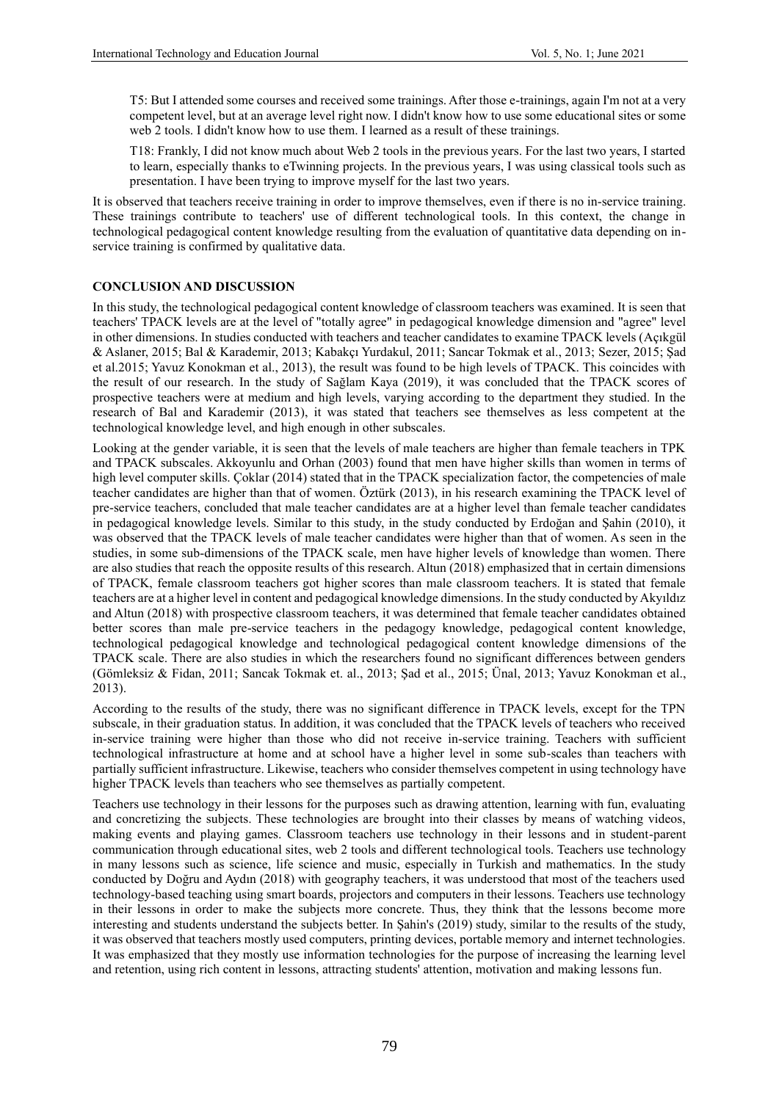T5: But I attended some courses and received some trainings. After those e-trainings, again I'm not at a very competent level, but at an average level right now. I didn't know how to use some educational sites or some web 2 tools. I didn't know how to use them. I learned as a result of these trainings.

T18: Frankly, I did not know much about Web 2 tools in the previous years. For the last two years, I started to learn, especially thanks to eTwinning projects. In the previous years, I was using classical tools such as presentation. I have been trying to improve myself for the last two years.

It is observed that teachers receive training in order to improve themselves, even if there is no in-service training. These trainings contribute to teachers' use of different technological tools. In this context, the change in technological pedagogical content knowledge resulting from the evaluation of quantitative data depending on inservice training is confirmed by qualitative data.

# **CONCLUSION AND DISCUSSION**

In this study, the technological pedagogical content knowledge of classroom teachers was examined. It is seen that teachers' TPACK levels are at the level of "totally agree" in pedagogical knowledge dimension and "agree" level in other dimensions. In studies conducted with teachers and teacher candidates to examine TPACK levels (Açıkgül & Aslaner, 2015; Bal & Karademir, 2013; Kabakçı Yurdakul, 2011; Sancar Tokmak et al., 2013; Sezer, 2015; Şad et al.2015; Yavuz Konokman et al., 2013), the result was found to be high levels of TPACK. This coincides with the result of our research. In the study of Sağlam Kaya (2019), it was concluded that the TPACK scores of prospective teachers were at medium and high levels, varying according to the department they studied. In the research of Bal and Karademir (2013), it was stated that teachers see themselves as less competent at the technological knowledge level, and high enough in other subscales.

Looking at the gender variable, it is seen that the levels of male teachers are higher than female teachers in TPK and TPACK subscales. Akkoyunlu and Orhan (2003) found that men have higher skills than women in terms of high level computer skills. Çoklar (2014) stated that in the TPACK specialization factor, the competencies of male teacher candidates are higher than that of women. Öztürk (2013), in his research examining the TPACK level of pre-service teachers, concluded that male teacher candidates are at a higher level than female teacher candidates in pedagogical knowledge levels. Similar to this study, in the study conducted by Erdoğan and Şahin (2010), it was observed that the TPACK levels of male teacher candidates were higher than that of women. As seen in the studies, in some sub-dimensions of the TPACK scale, men have higher levels of knowledge than women. There are also studies that reach the opposite results of this research. Altun (2018) emphasized that in certain dimensions of TPACK, female classroom teachers got higher scores than male classroom teachers. It is stated that female teachers are at a higher level in content and pedagogical knowledge dimensions. In the study conducted by Akyıldız and Altun (2018) with prospective classroom teachers, it was determined that female teacher candidates obtained better scores than male pre-service teachers in the pedagogy knowledge, pedagogical content knowledge, technological pedagogical knowledge and technological pedagogical content knowledge dimensions of the TPACK scale. There are also studies in which the researchers found no significant differences between genders (Gömleksiz & Fidan, 2011; Sancak Tokmak et. al., 2013; Şad et al., 2015; Ünal, 2013; Yavuz Konokman et al., 2013).

According to the results of the study, there was no significant difference in TPACK levels, except for the TPN subscale, in their graduation status. In addition, it was concluded that the TPACK levels of teachers who received in-service training were higher than those who did not receive in-service training. Teachers with sufficient technological infrastructure at home and at school have a higher level in some sub-scales than teachers with partially sufficient infrastructure. Likewise, teachers who consider themselves competent in using technology have higher TPACK levels than teachers who see themselves as partially competent.

Teachers use technology in their lessons for the purposes such as drawing attention, learning with fun, evaluating and concretizing the subjects. These technologies are brought into their classes by means of watching videos, making events and playing games. Classroom teachers use technology in their lessons and in student-parent communication through educational sites, web 2 tools and different technological tools. Teachers use technology in many lessons such as science, life science and music, especially in Turkish and mathematics. In the study conducted by Doğru and Aydın (2018) with geography teachers, it was understood that most of the teachers used technology-based teaching using smart boards, projectors and computers in their lessons. Teachers use technology in their lessons in order to make the subjects more concrete. Thus, they think that the lessons become more interesting and students understand the subjects better. In Şahin's (2019) study, similar to the results of the study, it was observed that teachers mostly used computers, printing devices, portable memory and internet technologies. It was emphasized that they mostly use information technologies for the purpose of increasing the learning level and retention, using rich content in lessons, attracting students' attention, motivation and making lessons fun.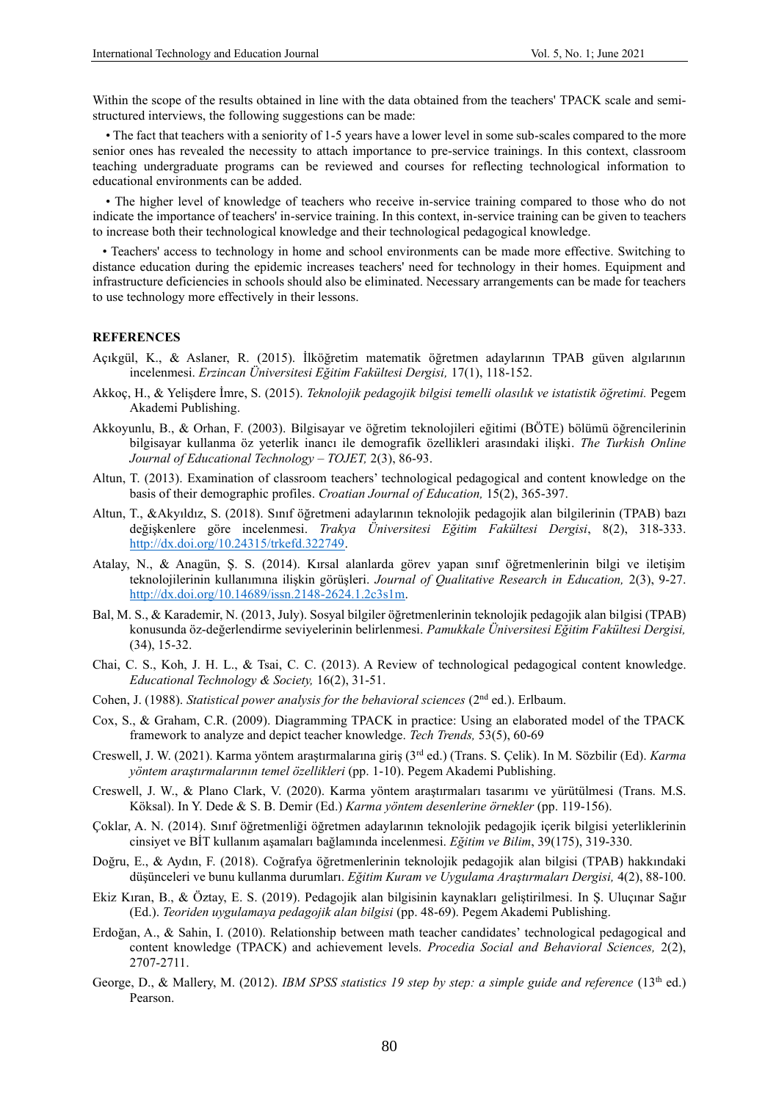Within the scope of the results obtained in line with the data obtained from the teachers' TPACK scale and semistructured interviews, the following suggestions can be made:

 • The fact that teachers with a seniority of 1-5 years have a lower level in some sub-scales compared to the more senior ones has revealed the necessity to attach importance to pre-service trainings. In this context, classroom teaching undergraduate programs can be reviewed and courses for reflecting technological information to educational environments can be added.

 • The higher level of knowledge of teachers who receive in-service training compared to those who do not indicate the importance of teachers' in-service training. In this context, in-service training can be given to teachers to increase both their technological knowledge and their technological pedagogical knowledge.

 • Teachers' access to technology in home and school environments can be made more effective. Switching to distance education during the epidemic increases teachers' need for technology in their homes. Equipment and infrastructure deficiencies in schools should also be eliminated. Necessary arrangements can be made for teachers to use technology more effectively in their lessons.

#### **REFERENCES**

- Açıkgül, K., & Aslaner, R. (2015). İlköğretim matematik öğretmen adaylarının TPAB güven algılarının incelenmesi. *Erzincan Üniversitesi Eğitim Fakültesi Dergisi,* 17(1), 118-152.
- Akkoç, H., & Yelişdere İmre, S. (2015). *Teknolojik pedagojik bilgisi temelli olasılık ve istatistik öğretimi.* Pegem Akademi Publishing.
- Akkoyunlu, B., & Orhan, F. (2003). Bilgisayar ve öğretim teknolojileri eğitimi (BÖTE) bölümü öğrencilerinin bilgisayar kullanma öz yeterlik inancı ile demografik özellikleri arasındaki ilişki. *The Turkish Online Journal of Educational Technology – TOJET,* 2(3), 86-93.
- Altun, T. (2013). Examination of classroom teachers' technological pedagogical and content knowledge on the basis of their demographic profiles. *Croatian Journal of Education,* 15(2), 365-397.
- Altun, T., &Akyıldız, S. (2018). Sınıf öğretmeni adaylarının teknolojik pedagojik alan bilgilerinin (TPAB) bazı değişkenlere göre incelenmesi. *Trakya Üniversitesi Eğitim Fakültesi Dergisi*, 8(2), 318-333. [http://dx.doi.org/10.24315/trkefd.322749.](http://dx.doi.org/10.24315/trkefd.322749)
- Atalay, N., & Anagün, Ş. S. (2014). Kırsal alanlarda görev yapan sınıf öğretmenlerinin bilgi ve iletişim teknolojilerinin kullanımına ilişkin görüşleri. *Journal of Qualitative Research in Education,* 2(3), 9-27. [http://dx.doi.org/10.14689/issn.2148-2624.1.2c3s1m.](http://dx.doi.org/10.14689/issn.2148-2624.1.2c3s1m)
- Bal, M. S., & Karademir, N. (2013, July). Sosyal bilgiler öğretmenlerinin teknolojik pedagojik alan bilgisi (TPAB) konusunda öz-değerlendirme seviyelerinin belirlenmesi. *Pamukkale Üniversitesi Eğitim Fakültesi Dergisi,*  (34), 15-32.
- Chai, C. S., Koh, J. H. L., & Tsai, C. C. (2013). A Review of technological pedagogical content knowledge. *Educational Technology & Society,* 16(2), 31-51.
- Cohen, J. (1988). *Statistical power analysis for the behavioral sciences* (2nd ed.). Erlbaum.
- Cox, S., & Graham, C.R. (2009). Diagramming TPACK in practice: Using an elaborated model of the TPACK framework to analyze and depict teacher knowledge. *Tech Trends,* 53(5), 60-69
- Creswell, J. W. (2021). Karma yöntem araştırmalarına giriş (3rd ed.) (Trans. S. Çelik). In M. Sözbilir (Ed). *Karma yöntem araştırmalarının temel özellikleri* (pp. 1-10). Pegem Akademi Publishing.
- Creswell, J. W., & Plano Clark, V. (2020). Karma yöntem araştırmaları tasarımı ve yürütülmesi (Trans. M.S. Köksal). In Y. Dede & S. B. Demir (Ed.) *Karma yöntem desenlerine örnekler* (pp. 119-156).
- Çoklar, A. N. (2014). Sınıf öğretmenliği öğretmen adaylarının teknolojik pedagojik içerik bilgisi yeterliklerinin cinsiyet ve BİT kullanım aşamaları bağlamında incelenmesi. *Eğitim ve Bilim*, 39(175), 319-330.
- Doğru, E., & Aydın, F. (2018). Coğrafya öğretmenlerinin teknolojik pedagojik alan bilgisi (TPAB) hakkındaki düşünceleri ve bunu kullanma durumları. *Eğitim Kuram ve Uygulama Araştırmaları Dergisi,* 4(2), 88-100.
- Ekiz Kıran, B., & Öztay, E. S. (2019). Pedagojik alan bilgisinin kaynakları geliştirilmesi. In Ş. Uluçınar Sağır (Ed.). *Teoriden uygulamaya pedagojik alan bilgisi* (pp. 48-69). Pegem Akademi Publishing.
- Erdoğan, A., & Sahin, I. (2010). Relationship between math teacher candidates' technological pedagogical and content knowledge (TPACK) and achievement levels. *Procedia Social and Behavioral Sciences,* 2(2), 2707-2711.
- George, D., & Mallery, M. (2012). *IBM SPSS statistics 19 step by step: a simple guide and reference* (13<sup>th</sup> ed.) Pearson.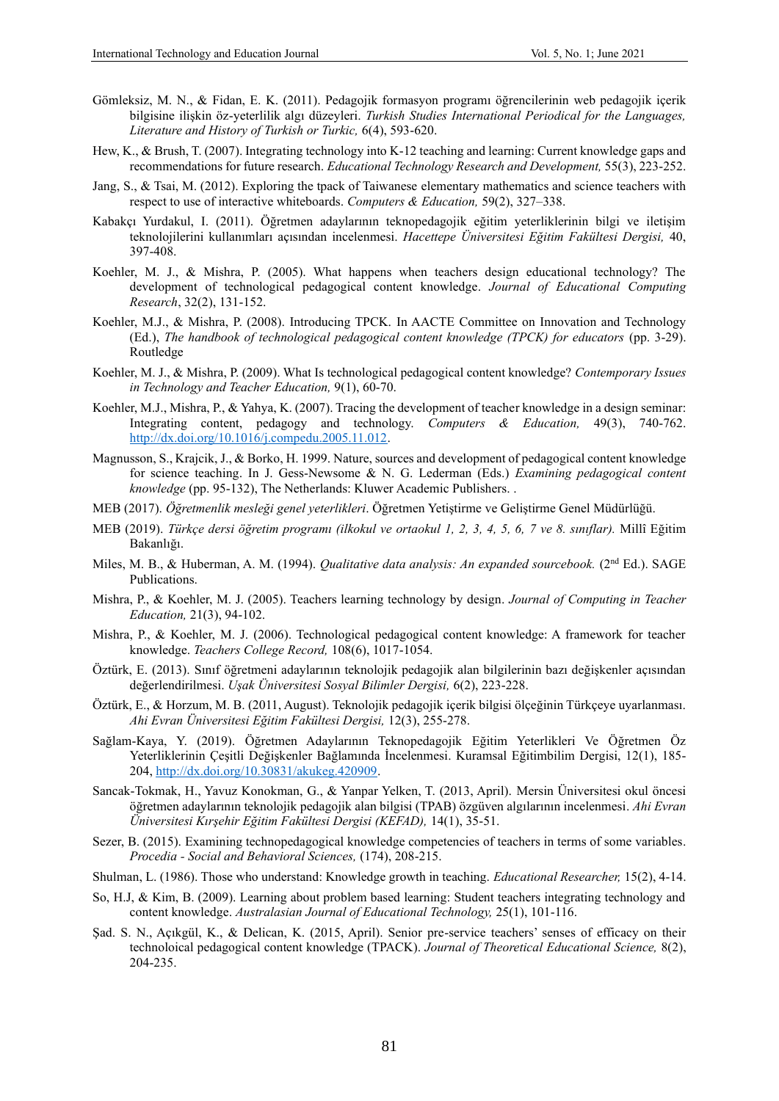- Gömleksiz, M. N., & Fidan, E. K. (2011). Pedagojik formasyon programı öğrencilerinin web pedagojik içerik bilgisine ilişkin öz-yeterlilik algı düzeyleri. *Turkish Studies International Periodical for the Languages, Literature and History of Turkish or Turkic,* 6(4), 593-620.
- Hew, K., & Brush, T. (2007). Integrating technology into K-12 teaching and learning: Current knowledge gaps and recommendations for future research. *Educational Technology Research and Development*, 55(3), 223-252.
- Jang, S., & Tsai, M. (2012). Exploring the tpack of Taiwanese elementary mathematics and science teachers with respect to use of interactive whiteboards. *Computers & Education,* 59(2), 327–338.
- Kabakçı Yurdakul, I. (2011). Öğretmen adaylarının teknopedagojik eğitim yeterliklerinin bilgi ve iletişim teknolojilerini kullanımları açısından incelenmesi. *Hacettepe Üniversitesi Eğitim Fakültesi Dergisi,* 40, 397-408.
- Koehler, M. J., & Mishra, P. (2005). What happens when teachers design educational technology? The development of technological pedagogical content knowledge. *Journal of Educational Computing Research*, 32(2), 131-152.
- Koehler, M.J., & Mishra, P. (2008). Introducing TPCK. In AACTE Committee on Innovation and Technology (Ed.), *The handbook of technological pedagogical content knowledge (TPCK) for educators* (pp. 3-29). Routledge
- Koehler, M. J., & Mishra, P. (2009). What Is technological pedagogical content knowledge? *Contemporary Issues in Technology and Teacher Education,* 9(1), 60-70.
- Koehler, M.J., Mishra, P., & Yahya, K. (2007). Tracing the development of teacher knowledge in a design seminar: Integrating content, pedagogy and technology. *Computers & Education,* 49(3), 740-762. [http://dx.doi.org/10.1016/j.compedu.2005.11.012.](http://dx.doi.org/10.1016/j.compedu.2005.11.012)
- Magnusson, S., Krajcik, J., & Borko, H. 1999. Nature, sources and development of pedagogical content knowledge for science teaching. In J. Gess-Newsome & N. G. Lederman (Eds.) *Examining pedagogical content knowledge* (pp. 95-132), The Netherlands: Kluwer Academic Publishers. .
- MEB (2017). *Öğretmenlik mesleği genel yeterlikleri*. Öğretmen Yetiştirme ve Geliştirme Genel Müdürlüğü.
- MEB (2019). *Türkçe dersi öğretim programı (ilkokul ve ortaokul 1, 2, 3, 4, 5, 6, 7 ve 8. sınıflar).* Millî Eğitim Bakanlığı.
- Miles, M. B., & Huberman, A. M. (1994). *Qualitative data analysis: An expanded sourcebook.* (2<sup>nd</sup> Ed.). SAGE Publications.
- Mishra, P., & Koehler, M. J. (2005). Teachers learning technology by design. *Journal of Computing in Teacher Education,* 21(3), 94-102.
- Mishra, P., & Koehler, M. J. (2006). Technological pedagogical content knowledge: A framework for teacher knowledge. *Teachers College Record,* 108(6), 1017-1054.
- Öztürk, E. (2013). Sınıf öğretmeni adaylarının teknolojik pedagojik alan bilgilerinin bazı değişkenler açısından değerlendirilmesi. *Uşak Üniversitesi Sosyal Bilimler Dergisi,* 6(2), 223-228.
- Öztürk, E., & Horzum, M. B. (2011, August). Teknolojik pedagojik içerik bilgisi ölçeğinin Türkçeye uyarlanması. *Ahi Evran Üniversitesi Eğitim Fakültesi Dergisi,* 12(3), 255-278.
- Sağlam-Kaya, Y. (2019). Öğretmen Adaylarının Teknopedagojik Eğitim Yeterlikleri Ve Öğretmen Öz Yeterliklerinin Çeşitli Değişkenler Bağlamında İncelenmesi. Kuramsal Eğitimbilim Dergisi, 12(1), 185- 204, [http://dx.doi.org/10.30831/akukeg.420909.](http://dx.doi.org/10.30831/akukeg.420909)
- Sancak-Tokmak, H., Yavuz Konokman, G., & Yanpar Yelken, T. (2013, April). Mersin Üniversitesi okul öncesi öğretmen adaylarının teknolojik pedagojik alan bilgisi (TPAB) özgüven algılarının incelenmesi. *Ahi Evran Üniversitesi Kırşehir Eğitim Fakültesi Dergisi (KEFAD),* 14(1), 35-51.
- Sezer, B. (2015). Examining technopedagogical knowledge competencies of teachers in terms of some variables. *Procedia - Social and Behavioral Sciences,* (174), 208-215.
- Shulman, L. (1986). Those who understand: Knowledge growth in teaching. *Educational Researcher,* 15(2), 4-14.
- So, H.J, & Kim, B. (2009). Learning about problem based learning: Student teachers integrating technology and content knowledge. *Australasian Journal of Educational Technology,* 25(1), 101-116.
- Şad. S. N., Açıkgül, K., & Delican, K. (2015, April). Senior pre-service teachers' senses of efficacy on their technoloical pedagogical content knowledge (TPACK). *Journal of Theoretical Educational Science,* 8(2), 204-235.